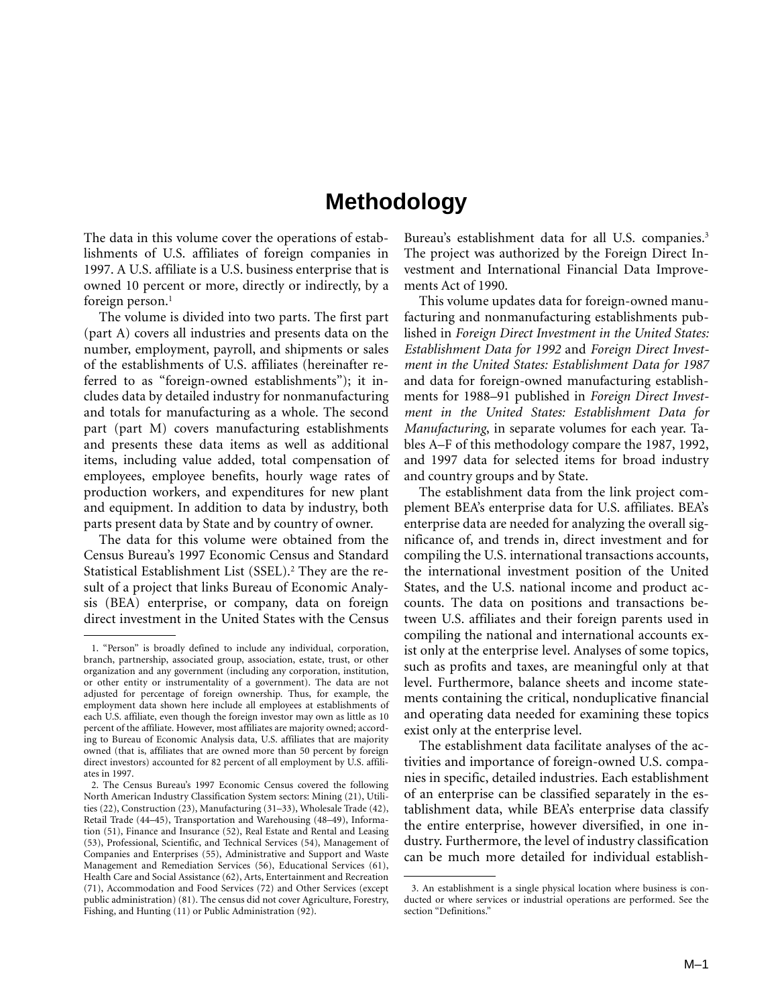# **Methodology**

The data in this volume cover the operations of establishments of U.S. affiliates of foreign companies in 1997. A U.S. affiliate is a U.S. business enterprise that is owned 10 percent or more, directly or indirectly, by a foreign person. $<sup>1</sup>$ </sup>

The volume is divided into two parts. The first part (part A) covers all industries and presents data on the number, employment, payroll, and shipments or sales of the establishments of U.S. affiliates (hereinafter referred to as "foreign-owned establishments"); it includes data by detailed industry for nonmanufacturing and totals for manufacturing as a whole. The second part (part M) covers manufacturing establishments and presents these data items as well as additional items, including value added, total compensation of employees, employee benefits, hourly wage rates of production workers, and expenditures for new plant and equipment. In addition to data by industry, both parts present data by State and by country of owner.

The data for this volume were obtained from the Census Bureau's 1997 Economic Census and Standard Statistical Establishment List (SSEL).<sup>2</sup> They are the result of a project that links Bureau of Economic Analysis (BEA) enterprise, or company, data on foreign direct investment in the United States with the Census

Bureau's establishment data for all U.S. companies.<sup>3</sup> The project was authorized by the Foreign Direct Investment and International Financial Data Improvements Act of 1990.

This volume updates data for foreign-owned manufacturing and nonmanufacturing establishments published in *Foreign Direct Investment in the United States: Establishment Data for 1992* and *Foreign Direct Investment in the United States: Establishment Data for 1987* and data for foreign-owned manufacturing establishments for 1988–91 published in *Foreign Direct Investment in the United States: Establishment Data for Manufacturing*, in separate volumes for each year. Tables A–F of this methodology compare the 1987, 1992, and 1997 data for selected items for broad industry and country groups and by State.

The establishment data from the link project complement BEA's enterprise data for U.S. affiliates. BEA's enterprise data are needed for analyzing the overall significance of, and trends in, direct investment and for compiling the U.S. international transactions accounts, the international investment position of the United States, and the U.S. national income and product accounts. The data on positions and transactions between U.S. affiliates and their foreign parents used in compiling the national and international accounts exist only at the enterprise level. Analyses of some topics, such as profits and taxes, are meaningful only at that level. Furthermore, balance sheets and income statements containing the critical, nonduplicative financial and operating data needed for examining these topics exist only at the enterprise level.

The establishment data facilitate analyses of the activities and importance of foreign-owned U.S. companies in specific, detailed industries. Each establishment of an enterprise can be classified separately in the establishment data, while BEA's enterprise data classify the entire enterprise, however diversified, in one industry. Furthermore, the level of industry classification can be much more detailed for individual establish-

<sup>1. &</sup>quot;Person" is broadly defined to include any individual, corporation, branch, partnership, associated group, association, estate, trust, or other organization and any government (including any corporation, institution, or other entity or instrumentality of a government). The data are not adjusted for percentage of foreign ownership. Thus, for example, the employment data shown here include all employees at establishments of each U.S. affiliate, even though the foreign investor may own as little as 10 percent of the affiliate. However, most affiliates are majority owned; according to Bureau of Economic Analysis data, U.S. affiliates that are majority owned (that is, affiliates that are owned more than 50 percent by foreign direct investors) accounted for 82 percent of all employment by U.S. affiliates in 1997.

<sup>2.</sup> The Census Bureau's 1997 Economic Census covered the following North American Industry Classification System sectors: Mining (21), Utilities (22), Construction (23), Manufacturing (31–33), Wholesale Trade (42), Retail Trade (44–45), Transportation and Warehousing (48–49), Information (51), Finance and Insurance (52), Real Estate and Rental and Leasing (53), Professional, Scientific, and Technical Services (54), Management of Companies and Enterprises (55), Administrative and Support and Waste Management and Remediation Services (56), Educational Services (61), Health Care and Social Assistance (62), Arts, Entertainment and Recreation (71), Accommodation and Food Services (72) and Other Services (except public administration) (81). The census did not cover Agriculture, Forestry, Fishing, and Hunting (11) or Public Administration (92).

<sup>3.</sup> An establishment is a single physical location where business is conducted or where services or industrial operations are performed. See the section "Definitions."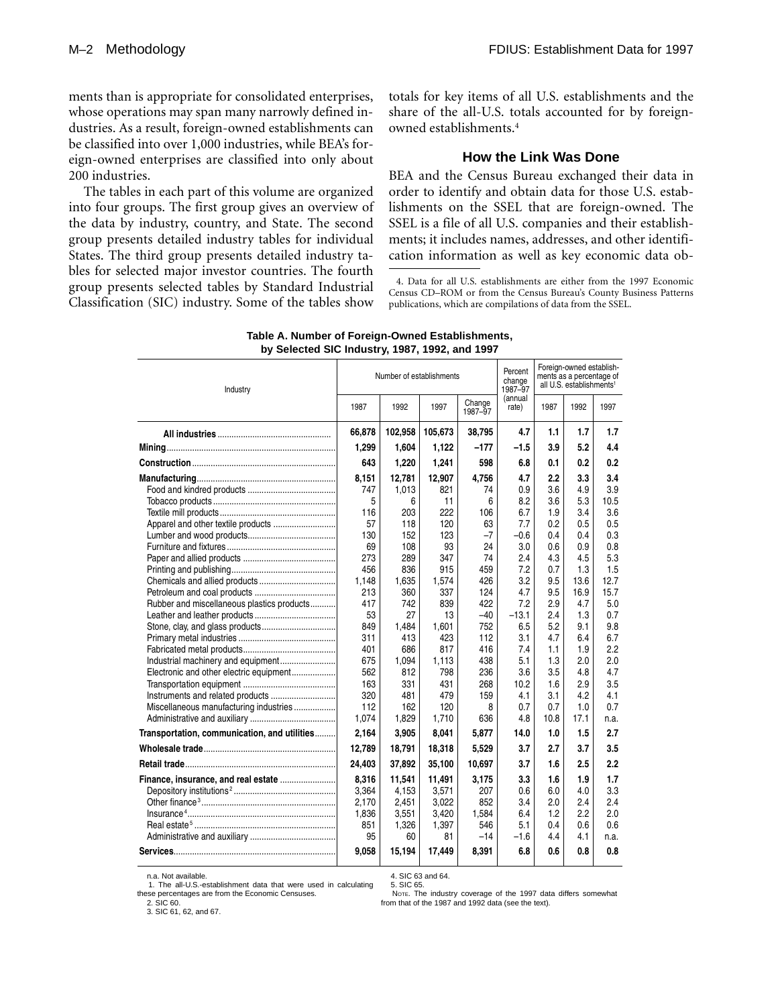ments than is appropriate for consolidated enterprises, whose operations may span many narrowly defined industries. As a result, foreign-owned establishments can be classified into over 1,000 industries, while BEA's foreign-owned enterprises are classified into only about 200 industries.

The tables in each part of this volume are organized into four groups. The first group gives an overview of the data by industry, country, and State. The second group presents detailed industry tables for individual States. The third group presents detailed industry tables for selected major investor countries. The fourth group presents selected tables by Standard Industrial Classification (SIC) industry. Some of the tables show totals for key items of all U.S. establishments and the share of the all-U.S. totals accounted for by foreignowned establishments.4

#### **How the Link Was Done**

BEA and the Census Bureau exchanged their data in order to identify and obtain data for those U.S. establishments on the SSEL that are foreign-owned. The SSEL is a file of all U.S. companies and their establishments; it includes names, addresses, and other identification information as well as key economic data ob-

4. Data for all U.S. establishments are either from the 1997 Economic Census CD–ROM or from the Census Bureau's County Business Patterns

publications, which are compilations of data from the SSEL.

| Industry                                     |        | Number of establishments |         | Percent<br>change<br>1987-97 |                  | Foreign-owned establish-<br>ments as a percentage of<br>all U.S. establishments <sup>1</sup> |      |      |
|----------------------------------------------|--------|--------------------------|---------|------------------------------|------------------|----------------------------------------------------------------------------------------------|------|------|
|                                              | 1987   | 1992                     | 1997    | Change<br>1987-97            | (annual<br>rate) | 1987                                                                                         | 1992 | 1997 |
|                                              | 66,878 | 102,958                  | 105,673 | 38,795                       | 4.7              | 1.1                                                                                          | 1.7  | 1.7  |
|                                              | 1,299  | 1,604                    | 1,122   | $-177$                       | $-1.5$           | 3.9                                                                                          | 5.2  | 4.4  |
|                                              | 643    | 1,220                    | 1,241   | 598                          | 6.8              | 0.1                                                                                          | 0.2  | 0.2  |
|                                              | 8,151  | 12,781                   | 12,907  | 4.756                        | 4.7              | 2.2                                                                                          | 3.3  | 3.4  |
|                                              | 747    | 1,013                    | 821     | 74                           | 0.9              | 3.6                                                                                          | 4.9  | 3.9  |
|                                              | 5      | 6                        | 11      | 6                            | 8.2              | 3.6                                                                                          | 5.3  | 10.5 |
|                                              | 116    | 203                      | 222     | 106                          | 6.7              | 1.9                                                                                          | 3.4  | 3.6  |
|                                              | 57     | 118                      | 120     | 63                           | 7.7              | 0.2                                                                                          | 0.5  | 0.5  |
|                                              | 130    | 152                      | 123     | $-7$                         | $-0.6$           | 0.4                                                                                          | 0.4  | 0.3  |
|                                              | 69     | 108                      | 93      | 24                           | 3.0              | 0.6                                                                                          | 0.9  | 0.8  |
|                                              | 273    | 289                      | 347     | 74                           | 2.4              | 4.3                                                                                          | 4.5  | 5.3  |
|                                              | 456    | 836                      | 915     | 459                          | 7.2              | 0.7                                                                                          | 1.3  | 1.5  |
|                                              | 1,148  | 1.635                    | 1,574   | 426                          | 3.2              | 9.5                                                                                          | 13.6 | 12.7 |
|                                              | 213    | 360                      | 337     | 124                          | 4.7              | 9.5                                                                                          | 16.9 | 15.7 |
| Rubber and miscellaneous plastics products   | 417    | 742                      | 839     | 422                          | 7.2              | 2.9                                                                                          | 4.7  | 5.0  |
|                                              | 53     | 27                       | 13      | -40                          | $-13.1$          | 2.4                                                                                          | 1.3  | 0.7  |
|                                              | 849    | 1.484                    | 1.601   | 752                          | 6.5              | 5.2                                                                                          | 9.1  | 9.8  |
|                                              | 311    | 413                      | 423     | 112                          | 3.1              | 4.7                                                                                          | 6.4  | 6.7  |
|                                              | 401    | 686                      | 817     | 416                          | 7.4              | 1.1                                                                                          | 1.9  | 2.2  |
|                                              | 675    | 1,094                    | 1,113   | 438                          | 5.1              | 1.3                                                                                          | 2.0  | 2.0  |
| Electronic and other electric equipment      | 562    | 812                      | 798     | 236                          | 3.6              | 3.5                                                                                          | 4.8  | 4.7  |
|                                              | 163    | 331                      | 431     | 268                          | 10.2             | 1.6                                                                                          | 2.9  | 3.5  |
|                                              | 320    | 481                      | 479     | 159                          | 4.1              | 3.1                                                                                          | 4.2  | 4.1  |
| Miscellaneous manufacturing industries       | 112    | 162                      | 120     | 8                            | 0.7              | 0.7                                                                                          | 1.0  | 0.7  |
|                                              | 1,074  | 1,829                    | 1,710   | 636                          | 4.8              | 10.8                                                                                         | 17.1 | n.a. |
| Transportation, communication, and utilities | 2,164  | 3,905                    | 8,041   | 5,877                        | 14.0             | 1.0                                                                                          | 1.5  | 2.7  |
|                                              | 12,789 | 18,791                   | 18,318  | 5,529                        | 3.7              | 2.7                                                                                          | 3.7  | 3.5  |
|                                              | 24,403 | 37,892                   | 35,100  | 10,697                       | 3.7              | 1.6                                                                                          | 2.5  | 2.2  |
| Finance, insurance, and real estate          | 8,316  | 11,541                   | 11,491  | 3,175                        | 3.3              | 1.6                                                                                          | 1.9  | 1.7  |
|                                              | 3,364  | 4,153                    | 3,571   | 207                          | 0.6              | 6.0                                                                                          | 4.0  | 3.3  |
|                                              | 2,170  | 2,451                    | 3,022   | 852                          | 3.4              | 2.0                                                                                          | 2.4  | 2.4  |
|                                              | 1,836  | 3,551                    | 3,420   | 1,584                        | 6.4              | 1.2                                                                                          | 2.2  | 2.0  |
|                                              | 851    | 1,326                    | 1,397   | 546                          | 5.1              | 0.4                                                                                          | 0.6  | 0.6  |
|                                              | 95     | 60                       | 81      | $-14$                        | $-1.6$           | 4.4                                                                                          | 4.1  | n.a. |
|                                              | 9.058  | 15,194                   | 17.449  | 8,391                        | 6.8              | 0.6                                                                                          | 0.8  | 0.8  |

| Table A. Number of Foreign-Owned Establishments, |
|--------------------------------------------------|
| by Selected SIC Industry, 1987, 1992, and 1997   |

n.a. Not available.

 4. SIC 63 and 64. 5. SIC 65.

 1. The all-U.S.-establishment data that were used in calculating these percentages are from the Economic Censuses.

2. SIC 60.

3. SIC 61, 62, and 67.

NOTE. The industry coverage of the 1997 data differs somewhat from that of the 1987 and 1992 data (see the text).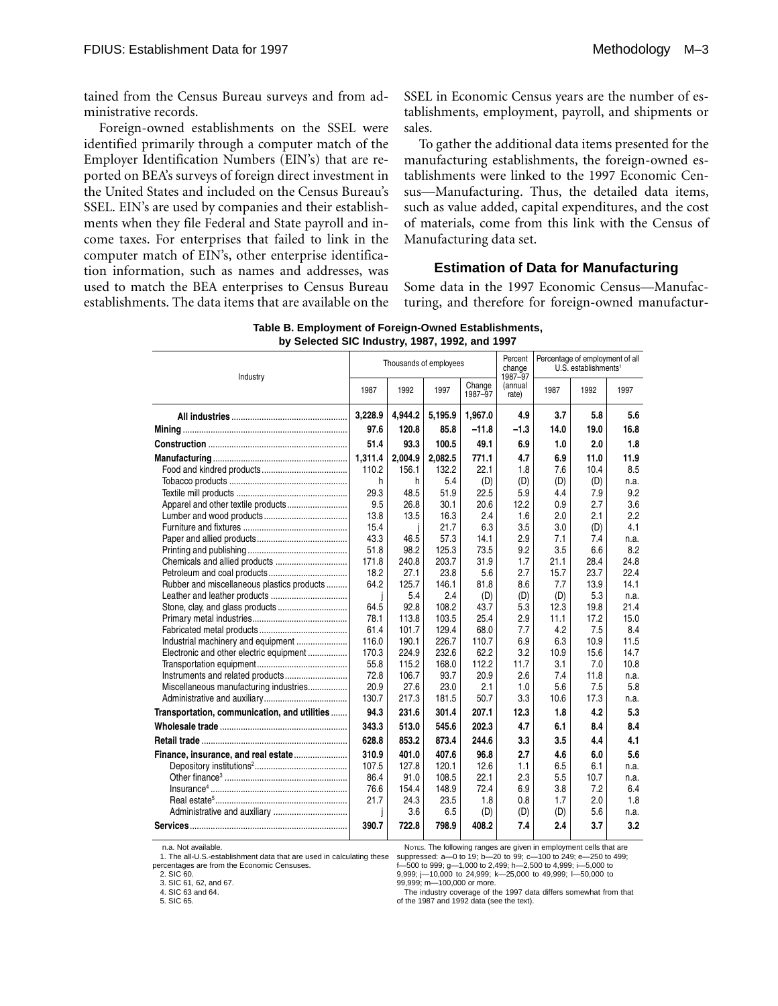tained from the Census Bureau surveys and from administrative records.

Foreign-owned establishments on the SSEL were identified primarily through a computer match of the Employer Identification Numbers (EIN's) that are reported on BEA's surveys of foreign direct investment in the United States and included on the Census Bureau's SSEL. EIN's are used by companies and their establishments when they file Federal and State payroll and income taxes. For enterprises that failed to link in the computer match of EIN's, other enterprise identification information, such as names and addresses, was used to match the BEA enterprises to Census Bureau establishments. The data items that are available on the SSEL in Economic Census years are the number of establishments, employment, payroll, and shipments or sales.

To gather the additional data items presented for the manufacturing establishments, the foreign-owned establishments were linked to the 1997 Economic Census—Manufacturing. Thus, the detailed data items, such as value added, capital expenditures, and the cost of materials, come from this link with the Census of Manufacturing data set.

#### **Estimation of Data for Manufacturing**

Some data in the 1997 Economic Census—Manufacturing, and therefore for foreign-owned manufactur-

| Industry                                     |         | Thousands of employees |         |                   |                             | Percentage of employment of all<br>U.S. establishments <sup>1</sup> |      |      |  |
|----------------------------------------------|---------|------------------------|---------|-------------------|-----------------------------|---------------------------------------------------------------------|------|------|--|
|                                              | 1987    | 1992                   | 1997    | Change<br>1987-97 | 1987–97<br>(annual<br>rate) | 1987                                                                | 1992 | 1997 |  |
|                                              | 3,228.9 | 4,944.2                | 5,195.9 | 1,967.0           | 4.9                         | 3.7                                                                 | 5.8  | 5.6  |  |
|                                              | 97.6    | 120.8                  | 85.8    | $-11.8$           | $-1.3$                      | 14.0                                                                | 19.0 | 16.8 |  |
|                                              | 51.4    | 93.3                   | 100.5   | 49.1              | 6.9                         | 1.0                                                                 | 2.0  | 1.8  |  |
|                                              | 1,311.4 | 2.004.9                | 2.082.5 | 771.1             | 4.7                         | 6.9                                                                 | 11.0 | 11.9 |  |
|                                              | 110.2   | 156.1                  | 132.2   | 22.1              | 1.8                         | 7.6                                                                 | 10.4 | 8.5  |  |
|                                              | h       | h                      | 5.4     | (D)               | (D)                         | (D)                                                                 | (D)  | n.a. |  |
|                                              | 29.3    | 48.5                   | 51.9    | 22.5              | 5.9                         | 4.4                                                                 | 7.9  | 9.2  |  |
|                                              | 9.5     | 26.8                   | 30.1    | 20.6              | 12.2                        | 0.9                                                                 | 2.7  | 3.6  |  |
|                                              | 13.8    | 13.5                   | 16.3    | 2.4               | 1.6                         | 2.0                                                                 | 2.1  | 2.2  |  |
|                                              | 15.4    |                        | 21.7    | 6.3               | 3.5                         | 3.0                                                                 | (D)  | 4.1  |  |
|                                              | 43.3    | 46.5                   | 57.3    | 14.1              | 2.9                         | 7.1                                                                 | 7.4  | n.a. |  |
|                                              | 51.8    | 98.2                   | 125.3   | 73.5              | 9.2                         | 3.5                                                                 | 6.6  | 8.2  |  |
| Chemicals and allied products                | 171.8   | 240.8                  | 203.7   | 31.9              | 1.7                         | 21.1                                                                | 28.4 | 24.8 |  |
|                                              | 18.2    | 27.1                   | 23.8    | 5.6               | 2.7                         | 15.7                                                                | 23.7 | 22.4 |  |
| Rubber and miscellaneous plastics products   | 64.2    | 125.7                  | 146.1   | 81.8              | 8.6                         | 7.7                                                                 | 13.9 | 14.1 |  |
|                                              |         | 5.4                    | 2.4     | (D)               | (D)                         | (D)                                                                 | 5.3  | n.a. |  |
|                                              | 64.5    | 92.8                   | 108.2   | 43.7              | 5.3                         | 12.3                                                                | 19.8 | 21.4 |  |
|                                              | 78.1    | 113.8                  | 103.5   | 25.4              | 2.9                         | 11.1                                                                | 17.2 | 15.0 |  |
|                                              | 61.4    | 101.7                  | 129.4   | 68.0              | 7.7                         | 4.2                                                                 | 7.5  | 8.4  |  |
|                                              | 116.0   | 190.1                  | 226.7   | 110.7             | 6.9                         | 6.3                                                                 | 10.9 | 11.5 |  |
| Electronic and other electric equipment      | 170.3   | 224.9                  | 232.6   | 62.2              | 3.2                         | 10.9                                                                | 15.6 | 14.7 |  |
|                                              | 55.8    | 115.2                  | 168.0   | 112.2             | 11.7                        | 3.1                                                                 | 7.0  | 10.8 |  |
|                                              | 72.8    | 106.7                  | 93.7    | 20.9              | 2.6                         | 7.4                                                                 | 11.8 | n.a. |  |
| Miscellaneous manufacturing industries       | 20.9    | 27.6                   | 23.0    | 2.1               | 1.0                         | 5.6                                                                 | 7.5  | 5.8  |  |
|                                              | 130.7   | 217.3                  | 181.5   | 50.7              | 3.3                         | 10.6                                                                | 17.3 | n.a. |  |
| Transportation, communication, and utilities | 94.3    | 231.6                  | 301.4   | 207.1             | 12.3                        | 1.8                                                                 | 4.2  | 5.3  |  |
|                                              | 343.3   | 513.0                  | 545.6   | 202.3             | 4.7                         | 6.1                                                                 | 8.4  | 8.4  |  |
|                                              | 628.8   | 853.2                  | 873.4   | 244.6             | 3.3                         | 3.5                                                                 | 4.4  | 4.1  |  |
| Finance, insurance, and real estate          | 310.9   | 401.0                  | 407.6   | 96.8              | 2.7                         | 4.6                                                                 | 6.0  | 5.6  |  |
|                                              | 107.5   | 127.8                  | 120.1   | 12.6              | 1.1                         | 6.5                                                                 | 6.1  | n.a. |  |
|                                              | 86.4    | 91.0                   | 108.5   | 22.1              | 2.3                         | 5.5                                                                 | 10.7 | n.a. |  |
|                                              | 76.6    | 154.4                  | 148.9   | 72.4              | 6.9                         | 3.8                                                                 | 7.2  | 6.4  |  |
|                                              | 21.7    | 24.3                   | 23.5    | 1.8               | 0.8                         | 1.7                                                                 | 2.0  | 1.8  |  |
|                                              |         | 3.6                    | 6.5     | (D)               | (D)                         | (D)                                                                 | 5.6  | n.a. |  |
|                                              | 390.7   | 722.8                  | 798.9   | 408.2             | 7.4                         | 2.4                                                                 | 3.7  | 3.2  |  |

**Table B. Employment of Foreign-Owned Establishments, by Selected SIC Industry, 1987, 1992, and 1997** 

n.a. Not available.

1. The all-U.S.-establishment data that are used in calculating these percentages are from the Economic Censuses.  $2. SIC$  60.

suppressed: a—0 to 19; b—20 to 99; c—100 to 249; e—250 to 499;<br>f—500 to 999; g—1,000 to 2,499; h—2,500 to 4,999; i—5,000 to<br>9,999; j—10,000 to 24,999; k—25,000 to 49,999; i—50,000 to

99,999; m—100,000 or more.

3. SIC 61, 62, and 67. 4. SIC 63 and 64.

5. SIC 65.

The industry coverage of the 1997 data differs somewhat from that of the 1987 and 1992 data (see the text).

NOTES. The following ranges are given in employment cells that are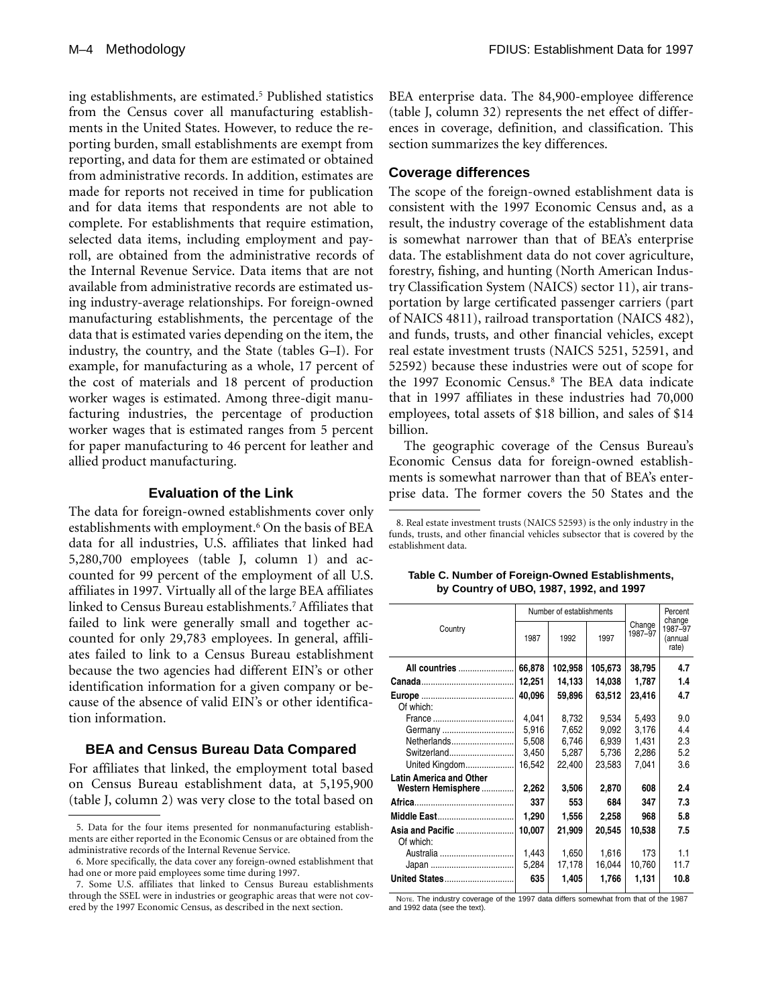ing establishments, are estimated.<sup>5</sup> Published statistics from the Census cover all manufacturing establishments in the United States. However, to reduce the reporting burden, small establishments are exempt from reporting, and data for them are estimated or obtained from administrative records. In addition, estimates are made for reports not received in time for publication and for data items that respondents are not able to complete. For establishments that require estimation, selected data items, including employment and payroll, are obtained from the administrative records of the Internal Revenue Service. Data items that are not available from administrative records are estimated using industry-average relationships. For foreign-owned manufacturing establishments, the percentage of the data that is estimated varies depending on the item, the industry, the country, and the State (tables G–I). For example, for manufacturing as a whole, 17 percent of the cost of materials and 18 percent of production worker wages is estimated. Among three-digit manufacturing industries, the percentage of production worker wages that is estimated ranges from 5 percent for paper manufacturing to 46 percent for leather and allied product manufacturing.

# **Evaluation of the Link**

The data for foreign-owned establishments cover only establishments with employment.<sup>6</sup> On the basis of BEA data for all industries, U.S. affiliates that linked had 5,280,700 employees (table J, column 1) and accounted for 99 percent of the employment of all U.S. affiliates in 1997. Virtually all of the large BEA affiliates linked to Census Bureau establishments.7 Affiliates that failed to link were generally small and together accounted for only 29,783 employees. In general, affiliates failed to link to a Census Bureau establishment because the two agencies had different EIN's or other identification information for a given company or because of the absence of valid EIN's or other identification information.

#### **BEA and Census Bureau Data Compared**

For affiliates that linked, the employment total based on Census Bureau establishment data, at 5,195,900 (table J, column 2) was very close to the total based on BEA enterprise data. The 84,900-employee difference (table J, column 32) represents the net effect of differences in coverage, definition, and classification. This section summarizes the key differences.

#### **Coverage differences**

The scope of the foreign-owned establishment data is consistent with the 1997 Economic Census and, as a result, the industry coverage of the establishment data is somewhat narrower than that of BEA's enterprise data. The establishment data do not cover agriculture, forestry, fishing, and hunting (North American Industry Classification System (NAICS) sector 11), air transportation by large certificated passenger carriers (part of NAICS 4811), railroad transportation (NAICS 482), and funds, trusts, and other financial vehicles, except real estate investment trusts (NAICS 5251, 52591, and 52592) because these industries were out of scope for the 1997 Economic Census.8 The BEA data indicate that in 1997 affiliates in these industries had 70,000 employees, total assets of \$18 billion, and sales of \$14 billion.

The geographic coverage of the Census Bureau's Economic Census data for foreign-owned establishments is somewhat narrower than that of BEA's enterprise data. The former covers the 50 States and the

<sup>8.</sup> Real estate investment trusts (NAICS 52593) is the only industry in the funds, trusts, and other financial vehicles subsector that is covered by the establishment data.

|                                |        | Number of establishments |         | Percent<br>change |                                    |
|--------------------------------|--------|--------------------------|---------|-------------------|------------------------------------|
| Country                        | 1987   | 1992                     | 1997    | Change<br>1987-97 | 1987-97<br><i>(annual</i><br>rate) |
| All countries                  | 66,878 | 102,958                  | 105,673 | 38,795            | 4.7                                |
|                                | 12,251 | 14,133                   | 14,038  | 1,787             | 1.4                                |
| Of which:                      | 40,096 | 59,896                   | 63,512  | 23,416            | 4.7                                |
|                                | 4.041  | 8,732                    | 9,534   | 5,493             | 9.0                                |
| Germany                        | 5,916  | 7,652                    | 9,092   | 3,176             | 4.4                                |
| Netherlands                    | 5,508  | 6,746                    | 6,939   | 1,431             | 2.3                                |
| Switzerland                    | 3,450  | 5,287                    | 5,736   | 2,286             | 5.2                                |
| United Kingdom                 | 16,542 | 22,400                   | 23,583  | 7.041             | 3.6                                |
| <b>Latin America and Other</b> |        |                          |         |                   |                                    |
| Western Hemisphere             | 2,262  | 3,506                    | 2,870   | 608               | 2.4                                |
|                                | 337    | 553                      | 684     | 347               | 7.3                                |
| Middle East                    | 1,290  | 1,556                    | 2,258   | 968               | 5.8                                |
| Asia and Pacific<br>Of which:  | 10,007 | 21,909                   | 20,545  | 10,538            | 7.5                                |
| Australia                      | 1,443  | 1,650                    | 1,616   | 173               | 1.1                                |
|                                | 5,284  | 17,178                   | 16,044  | 10,760            | 11.7                               |
| United States                  | 635    | 1,405                    | 1,766   | 1,131             | 10.8                               |

**Table C. Number of Foreign-Owned Establishments, by Country of UBO, 1987, 1992, and 1997** 

NOTE. The industry coverage of the 1997 data differs somewhat from that of the 1987 and 1992 data (see the text).

<sup>5.</sup> Data for the four items presented for nonmanufacturing establishments are either reported in the Economic Census or are obtained from the administrative records of the Internal Revenue Service.

<sup>6.</sup> More specifically, the data cover any foreign-owned establishment that had one or more paid employees some time during 1997.

<sup>7.</sup> Some U.S. affiliates that linked to Census Bureau establishments through the SSEL were in industries or geographic areas that were not covered by the 1997 Economic Census, as described in the next section.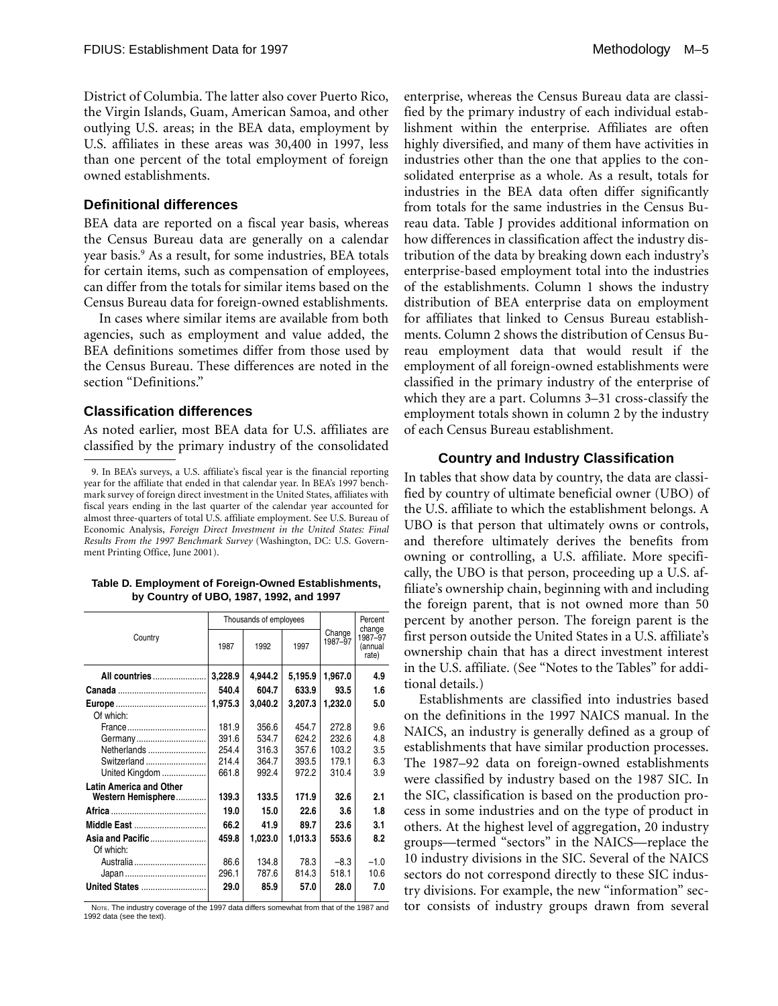District of Columbia. The latter also cover Puerto Rico, the Virgin Islands, Guam, American Samoa, and other outlying U.S. areas; in the BEA data, employment by U.S. affiliates in these areas was 30,400 in 1997, less than one percent of the total employment of foreign owned establishments.

#### **Definitional differences**

BEA data are reported on a fiscal year basis, whereas the Census Bureau data are generally on a calendar year basis.9 As a result, for some industries, BEA totals for certain items, such as compensation of employees, can differ from the totals for similar items based on the Census Bureau data for foreign-owned establishments.

In cases where similar items are available from both agencies, such as employment and value added, the BEA definitions sometimes differ from those used by the Census Bureau. These differences are noted in the section "Definitions."

#### **Classification differences**

As noted earlier, most BEA data for U.S. affiliates are classified by the primary industry of the consolidated

|                                |         | Thousands of employees |         | Percent<br>change |                             |
|--------------------------------|---------|------------------------|---------|-------------------|-----------------------------|
| Country                        | 1987    | 1992                   | 1997    | Change<br>1987-97 | 1987-97<br>(annual<br>rate) |
| All countries                  | 3,228.9 | 4,944.2                | 5,195.9 | 1,967.0           | 4.9                         |
|                                | 540.4   | 604.7                  | 633.9   | 93.5              | 1.6                         |
| Of which:                      | 1,975.3 | 3,040.2                | 3,207.3 | 1,232.0           | 5.0                         |
|                                | 181.9   | 356.6                  | 454.7   | 272.8             | 9.6                         |
| Germany                        | 391.6   | 534.7                  | 624.2   | 232.6             | 4.8                         |
| Netherlands                    | 254.4   | 316.3                  | 357.6   | 103.2             | 3.5                         |
| Switzerland                    | 214.4   | 364.7                  | 393.5   | 179.1             | 6.3                         |
| United Kingdom                 | 661.8   | 992.4                  | 972.2   | 310.4             | 3.9                         |
| <b>Latin America and Other</b> |         |                        |         |                   |                             |
| Western Hemisphere             | 139.3   | 133.5                  | 171.9   | 32.6              | 2.1                         |
|                                | 19.0    | 15.0                   | 22.6    | 3.6               | 1.8                         |
| Middle East                    | 66.2    | 41.9                   | 89.7    | 23.6              | 3.1                         |
| Asia and Pacific<br>Of which:  | 459.8   | 1,023.0                | 1,013.3 | 553.6             | 8.2                         |
| Australia                      | 86.6    | 134.8                  | 78.3    | $-8.3$            | $-1.0$                      |
|                                | 296.1   | 787.6                  | 814.3   | 518.1             | 10.6                        |
| <b>United States </b>          | 29.0    | 85.9                   | 57.0    | 28.0              | 7.0                         |

**Table D. Employment of Foreign-Owned Establishments, by Country of UBO, 1987, 1992, and 1997** 

NOTE. The industry coverage of the 1997 data differs somewhat from that of the 1987 and 1992 data (see the text).

enterprise, whereas the Census Bureau data are classified by the primary industry of each individual establishment within the enterprise. Affiliates are often highly diversified, and many of them have activities in industries other than the one that applies to the consolidated enterprise as a whole. As a result, totals for industries in the BEA data often differ significantly from totals for the same industries in the Census Bureau data. Table J provides additional information on how differences in classification affect the industry distribution of the data by breaking down each industry's enterprise-based employment total into the industries of the establishments. Column 1 shows the industry distribution of BEA enterprise data on employment for affiliates that linked to Census Bureau establishments. Column 2 shows the distribution of Census Bureau employment data that would result if the employment of all foreign-owned establishments were classified in the primary industry of the enterprise of which they are a part. Columns 3–31 cross-classify the employment totals shown in column 2 by the industry of each Census Bureau establishment.

#### **Country and Industry Classification**

In tables that show data by country, the data are classified by country of ultimate beneficial owner (UBO) of the U.S. affiliate to which the establishment belongs. A UBO is that person that ultimately owns or controls, and therefore ultimately derives the benefits from owning or controlling, a U.S. affiliate. More specifically, the UBO is that person, proceeding up a U.S. affiliate's ownership chain, beginning with and including the foreign parent, that is not owned more than 50 percent by another person. The foreign parent is the first person outside the United States in a U.S. affiliate's ownership chain that has a direct investment interest in the U.S. affiliate. (See "Notes to the Tables" for additional details.)

Establishments are classified into industries based on the definitions in the 1997 NAICS manual. In the NAICS, an industry is generally defined as a group of establishments that have similar production processes. The 1987–92 data on foreign-owned establishments were classified by industry based on the 1987 SIC. In the SIC, classification is based on the production process in some industries and on the type of product in others. At the highest level of aggregation, 20 industry groups—termed "sectors" in the NAICS—replace the 10 industry divisions in the SIC. Several of the NAICS sectors do not correspond directly to these SIC industry divisions. For example, the new "information" sector consists of industry groups drawn from several

<sup>9.</sup> In BEA's surveys, a U.S. affiliate's fiscal year is the financial reporting year for the affiliate that ended in that calendar year. In BEA's 1997 benchmark survey of foreign direct investment in the United States, affiliates with fiscal years ending in the last quarter of the calendar year accounted for almost three-quarters of total U.S. affiliate employment. See U.S. Bureau of Economic Analysis, *Foreign Direct Investment in the United States: Final Results From the 1997 Benchmark Survey* (Washington, DC: U.S. Government Printing Office, June 2001).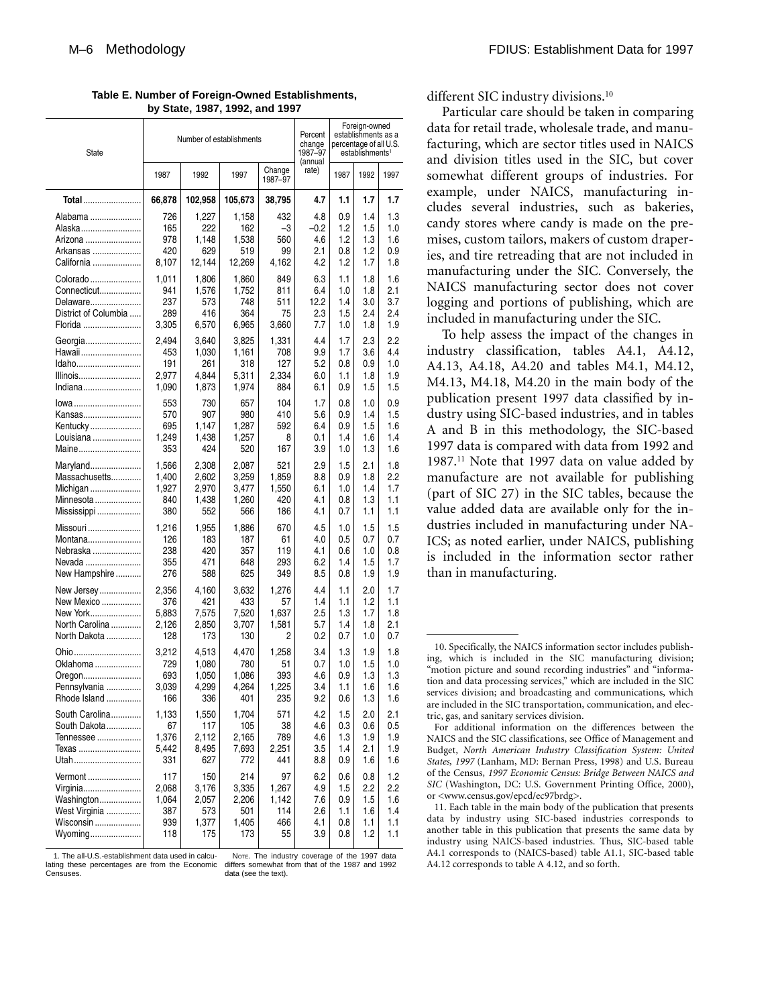| State                | Number of establishments | Percent<br>change<br>1987-97 |         | Foreign-owned<br>establishments as a<br>percentage of all U.S.<br>establishments <sup>1</sup> |                  |      |      |      |
|----------------------|--------------------------|------------------------------|---------|-----------------------------------------------------------------------------------------------|------------------|------|------|------|
|                      | 1987                     | 1992                         | 1997    | Change<br>1987-97                                                                             | (annual<br>rate) | 1987 | 1992 | 1997 |
| Total                | 66,878                   | 102,958                      | 105,673 | 38,795                                                                                        | 4.7              | 1.1  | 1.7  | 1.7  |
| Alabama              | 726                      | 1,227                        | 1,158   | 432                                                                                           | 4.8              | 0.9  | 1.4  | 1.3  |
| Alaska               | 165                      | 222                          | 162     | -3                                                                                            | $-0.2$           | 1.2  | 1.5  | 1.0  |
| Arizona              | 978                      | 1,148                        | 1,538   | 560                                                                                           | 4.6              | 1.2  | 1.3  | 1.6  |
| Arkansas             | 420                      | 629                          | 519     | 99                                                                                            | 2.1              | 0.8  | 1.2  | 0.9  |
| California           | 8,107                    | 12,144                       | 12,269  | 4,162                                                                                         | 4.2              | 1.2  | 1.7  | 1.8  |
| Colorado             | 1,011                    | 1.806                        | 1,860   | 849                                                                                           | 6.3              | 1.1  | 1.8  | 1.6  |
| Connecticut          | 941                      | 1,576                        | 1,752   | 811                                                                                           | 6.4              | 1.0  | 1.8  | 2.1  |
| Delaware             | 237                      | 573                          | 748     | 511                                                                                           | 12.2             | 1.4  | 3.0  | 3.7  |
| District of Columbia | 289                      | 416                          | 364     | 75                                                                                            | 2.3              | 1.5  | 2.4  | 2.4  |
| Florida              | 3,305                    | 6,570                        | 6,965   | 3,660                                                                                         | 7.7              | 1.0  | 1.8  | 1.9  |
| Georgia              | 2,494                    | 3,640                        | 3,825   | 1,331                                                                                         | 4.4              | 1.7  | 2.3  | 2.2  |
| Hawaii               | 453                      | 1,030                        | 1,161   | 708                                                                                           | 9.9              | 1.7  | 3.6  | 4.4  |
| Idaho                | 191                      | 261                          | 318     | 127                                                                                           | 5.2              | 0.8  | 0.9  | 1.0  |
| Illinois             | 2,977                    | 4,844                        | 5,311   | 2,334                                                                                         | 6.0              | 1.1  | 1.8  | 1.9  |
| Indiana              | 1,090                    | 1,873                        | 1,974   | 884                                                                                           | 6.1              | 0.9  | 1.5  | 1.5  |
| lowa                 | 553                      | 730                          | 657     | 104                                                                                           | 1.7              | 0.8  | 1.0  | 0.9  |
| Kansas               | 570                      | 907                          | 980     | 410                                                                                           | 5.6              | 0.9  | 1.4  | 1.5  |
| Kentucky             | 695                      | 1,147                        | 1,287   | 592                                                                                           | 6.4              | 0.9  | 1.5  | 1.6  |
| Louisiana            | 1,249                    | 1,438                        | 1,257   | 8                                                                                             | 0.1              | 1.4  | 1.6  | 1.4  |
| Maine                | 353                      | 424                          | 520     | 167                                                                                           | 3.9              | 1.0  | 1.3  | 1.6  |
| Maryland             | 1.566                    | 2,308                        | 2.087   | 521                                                                                           | 2.9              | 1.5  | 2.1  | 1.8  |
| Massachusetts        | 1.400                    | 2,602                        | 3,259   | 1,859                                                                                         | 8.8              | 0.9  | 1.8  | 2.2  |
| Michigan             | 1,927                    | 2,970                        | 3,477   | 1,550                                                                                         | 6.1              | 1.0  | 1.4  | 1.7  |
| Minnesota            | 840                      | 1,438                        | 1,260   | 420                                                                                           | 4.1              | 0.8  | 1.3  | 1.1  |
| Mississippi          | 380                      | 552                          | 566     | 186                                                                                           | 4.1              | 0.7  | 1.1  | 1.1  |
| Missouri             | 1,216                    | 1,955                        | 1,886   | 670                                                                                           | 4.5              | 1.0  | 1.5  | 1.5  |
| Montana              | 126                      | 183                          | 187     | 61                                                                                            | 4.0              | 0.5  | 0.7  | 0.7  |
| Nebraska             | 238                      | 420                          | 357     | 119                                                                                           | 4.1              | 0.6  | 1.0  | 0.8  |
| Nevada               | 355                      | 471                          | 648     | 293                                                                                           | 6.2              | 1.4  | 1.5  | 1.7  |
| New Hampshire        | 276                      | 588                          | 625     | 349                                                                                           | 8.5              | 0.8  | 1.9  | 1.9  |
| New Jersey           | 2,356                    | 4,160                        | 3,632   | 1,276                                                                                         | 4.4              | 1.1  | 2.0  | 1.7  |
| New Mexico           | 376                      | 421                          | 433     | 57                                                                                            | 1.4              | 1.1  | 1.2  | 1.1  |
| New York             | 5,883                    | 7,575                        | 7,520   | 1.637                                                                                         | 2.5              | 1.3  | 1.7  | 1.8  |
| North Carolina       | 2,126                    | 2,850                        | 3,707   | 1,581                                                                                         | 5.7              | 1.4  | 1.8  | 2.1  |
| North Dakota         | 128                      | 173                          | 130     | 2                                                                                             | 0.2              | 0.7  | 1.0  | 0.7  |
| Ohio                 | 3.212                    | 4.513                        | 4,470   | 1,258                                                                                         | 3.4              | 1.3  | 1.9  | 1.8  |
| Oklahoma             | 729                      | 1,080                        | 780     | 51                                                                                            | 0.7              | 1.0  | 1.5  | 1.0  |
| Oregon               | 693                      | 1,050                        | 1,086   | 393                                                                                           | 4.6              | 0.9  | 1.3  | 1.3  |
| Pennsylvania         | 3,039                    | 4,299                        | 4,264   | 1,225                                                                                         | 3.4              | 1.1  | 1.6  | 1.6  |
| Rhode Island         | 166                      | 336                          | 401     | 235                                                                                           | 9.2              | 0.6  | 1.3  | 1.6  |
| South Carolina       | 1,133                    | 1,550                        | 1,704   | 571                                                                                           | 4.2              | 1.5  | 2.0  | 2.1  |
| South Dakota         | 67                       | 117                          | 105     | 38                                                                                            | 4.6              | 0.3  | 0.6  | 0.5  |
| Tennessee            | 1,376                    | 2,112                        | 2,165   | 789                                                                                           | 4.6              | 1.3  | 1.9  | 1.9  |
| Texas                | 5,442                    | 8,495                        | 7,693   | 2,251                                                                                         | 3.5              | 1.4  | 2.1  | 1.9  |
| Utah                 | 331                      | 627                          | 772     | 441                                                                                           | 8.8              | 0.9  | 1.6  | 1.6  |
| Vermont              | 117                      | 150                          | 214     | 97                                                                                            | 6.2              | 0.6  | 0.8  | 1.2  |
| Virginia             | 2,068                    | 3,176                        | 3,335   | 1,267                                                                                         | 4.9              | 1.5  | 2.2  | 2.2  |
| Washington           | 1,064                    | 2,057                        | 2,206   | 1,142                                                                                         | 7.6              | 0.9  | 1.5  | 1.6  |
| West Virginia        | 387                      | 573                          | 501     | 114                                                                                           | 2.6              | 1.1  | 1.6  | 1.4  |
| Wisconsin            | 939                      | 1,377                        | 1,405   | 466                                                                                           | 4.1              | 0.8  | 1.1  | 1.1  |
| Wyoming              | 118                      | 175                          | 173     | 55                                                                                            | 3.9              | 0.8  | 1.2  | 1.1  |

**Table E. Number of Foreign-Owned Establishments, by State, 1987, 1992, and 1997** 

1. The all-U.S.-establishment data used in calculating these percentages are from the Economic **Censuses** 

NOTE. The industry coverage of the 1997 data differs somewhat from that of the 1987 and 1992 data (see the text).

different SIC industry divisions.<sup>10</sup>

Particular care should be taken in comparing data for retail trade, wholesale trade, and manufacturing, which are sector titles used in NAICS and division titles used in the SIC, but cover somewhat different groups of industries. For example, under NAICS, manufacturing includes several industries, such as bakeries, candy stores where candy is made on the premises, custom tailors, makers of custom draperies, and tire retreading that are not included in manufacturing under the SIC. Conversely, the NAICS manufacturing sector does not cover logging and portions of publishing, which are included in manufacturing under the SIC.

To help assess the impact of the changes in industry classification, tables A4.1, A4.12, A4.13, A4.18, A4.20 and tables M4.1, M4.12, M4.13, M4.18, M4.20 in the main body of the publication present 1997 data classified by industry using SIC-based industries, and in tables A and B in this methodology, the SIC-based 1997 data is compared with data from 1992 and 1987.11 Note that 1997 data on value added by manufacture are not available for publishing (part of SIC 27) in the SIC tables, because the value added data are available only for the industries included in manufacturing under NA-ICS; as noted earlier, under NAICS, publishing is included in the information sector rather than in manufacturing.

<sup>10.</sup> Specifically, the NAICS information sector includes publishing, which is included in the SIC manufacturing division; "motion picture and sound recording industries" and "information and data processing services," which are included in the SIC services division; and broadcasting and communications, which are included in the SIC transportation, communication, and electric, gas, and sanitary services division.

For additional information on the differences between the NAICS and the SIC classifications, see Office of Management and Budget, *North American Industry Classification System: United States, 1997* (Lanham, MD: Bernan Press, 1998) and U.S. Bureau of the Census, *1997 Economic Census: Bridge Between NAICS and SIC* (Washington, DC: U.S. Government Printing Office, 2000), or <www.census.gov/epcd/ec97brdg>.

<sup>11.</sup> Each table in the main body of the publication that presents data by industry using SIC-based industries corresponds to another table in this publication that presents the same data by industry using NAICS-based industries. Thus, SIC-based table A4.1 corresponds to (NAICS-based) table A1.1, SIC-based table A4.12 corresponds to table A 4.12, and so forth.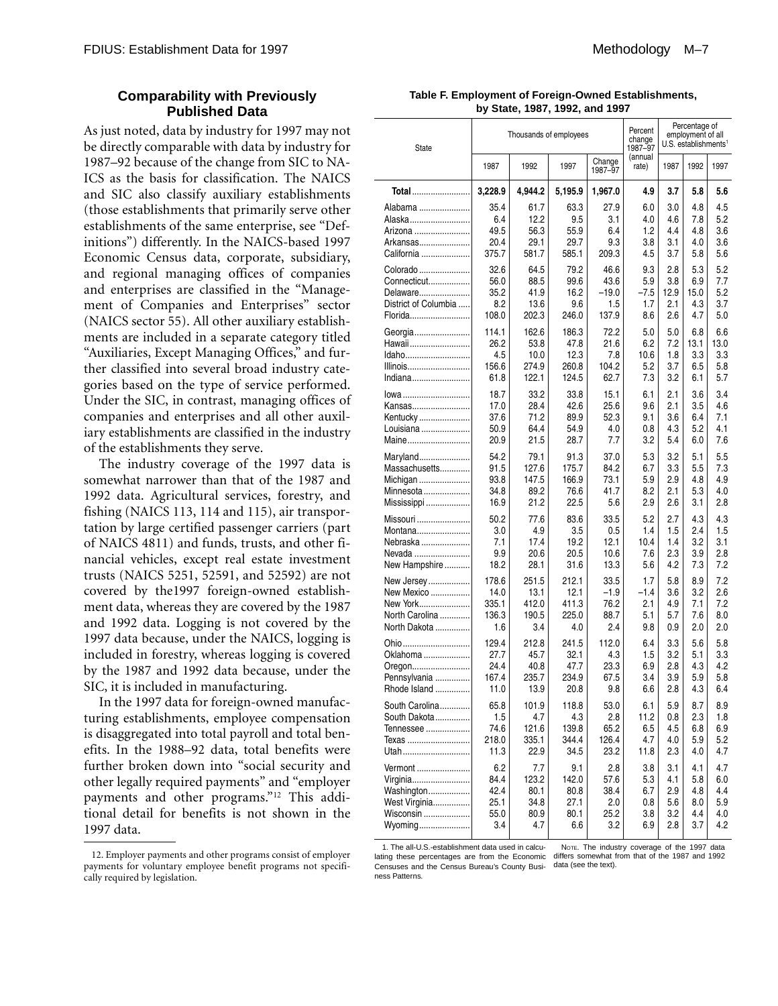#### **Comparability with Previously Published Data**

As just noted, data by industry for 1997 may not be directly comparable with data by industry for 1987–92 because of the change from SIC to NA-ICS as the basis for classification. The NAICS and SIC also classify auxiliary establishments (those establishments that primarily serve other establishments of the same enterprise, see "Definitions") differently. In the NAICS-based 1997 Economic Census data, corporate, subsidiary, and regional managing offices of companies and enterprises are classified in the "Management of Companies and Enterprises" sector (NAICS sector 55). All other auxiliary establishments are included in a separate category titled "Auxiliaries, Except Managing Offices," and further classified into several broad industry categories based on the type of service performed. Under the SIC, in contrast, managing offices of companies and enterprises and all other auxiliary establishments are classified in the industry of the establishments they serve.

The industry coverage of the 1997 data is somewhat narrower than that of the 1987 and 1992 data. Agricultural services, forestry, and fishing (NAICS 113, 114 and 115), air transportation by large certified passenger carriers (part of NAICS 4811) and funds, trusts, and other financial vehicles, except real estate investment trusts (NAICS 5251, 52591, and 52592) are not covered by the1997 foreign-owned establishment data, whereas they are covered by the 1987 and 1992 data. Logging is not covered by the 1997 data because, under the NAICS, logging is included in forestry, whereas logging is covered by the 1987 and 1992 data because, under the SIC, it is included in manufacturing.

In the 1997 data for foreign-owned manufacturing establishments, employee compensation is disaggregated into total payroll and total benefits. In the 1988–92 data, total benefits were further broken down into "social security and other legally required payments" and "employer payments and other programs."12 This additional detail for benefits is not shown in the 1997 data.

| Table F. Employment of Foreign-Owned Establishments, |
|------------------------------------------------------|
| by State, 1987, 1992, and 1997                       |

| <b>State</b>         |         | Thousands of employees |         |                   | Percent<br>change<br>1987-97 |      | Percentage of<br>employment of all<br>U.S. establishments <sup>1</sup> |      |
|----------------------|---------|------------------------|---------|-------------------|------------------------------|------|------------------------------------------------------------------------|------|
|                      | 1987    | 1992                   | 1997    | Change<br>1987-97 | (annual<br>rate)             | 1987 | 1992                                                                   | 1997 |
| Total                | 3,228.9 | 4.944.2                | 5,195.9 | 1,967.0           | 4.9                          | 3.7  | 5.8                                                                    | 5.6  |
| Alabama              | 35.4    | 61.7                   | 63.3    | 27.9              | 6.0                          | 3.0  | 4.8                                                                    | 4.5  |
| Alaska               | 6.4     | 12.2                   | 9.5     | 3.1               | 4.0                          | 4.6  | 7.8                                                                    | 5.2  |
| Arizona              | 49.5    | 56.3                   | 55.9    | 6.4               | 1.2                          | 4.4  | 4.8                                                                    | 3.6  |
| Arkansas             | 20.4    | 29.1                   | 29.7    | 9.3               | 3.8                          | 3.1  | 4.0                                                                    | 3.6  |
| California           | 375.7   | 581.7                  | 585.1   | 209.3             | 4.5                          | 3.7  | 5.8                                                                    | 5.6  |
| Colorado             | 32.6    | 64.5                   | 79.2    | 46.6              | 9.3                          | 2.8  | 5.3                                                                    | 5.2  |
| Connecticut          | 56.0    | 88.5                   | 99.6    | 43.6              | 5.9                          | 3.8  | 6.9                                                                    | 7.7  |
| Delaware             | 35.2    | 41.9                   | 16.2    | $-19.0$           | $-7.5$                       | 12.9 | 15.0                                                                   | 5.2  |
| District of Columbia | 8.2     | 13.6                   | 9.6     | 1.5               | 1.7                          | 2.1  | 4.3                                                                    | 3.7  |
| Florida              | 108.0   | 202.3                  | 246.0   | 137.9             | 8.6                          | 2.6  | 4.7                                                                    | 5.0  |
| Georgia              | 114.1   | 162.6                  | 186.3   | 72.2              | 5.0                          | 5.0  | 6.8                                                                    | 6.6  |
| Hawaii               | 26.2    | 53.8                   | 47.8    | 21.6              | 6.2                          | 7.2  | 13.1                                                                   | 13.0 |
| Idaho                | 4.5     | 10.0                   | 12.3    | 7.8               | 10.6                         | 1.8  | 3.3                                                                    | 3.3  |
| Illinois             | 156.6   | 274.9                  | 260.8   | 104.2             | 5.2                          | 3.7  | 6.5                                                                    | 5.8  |
| Indiana              | 61.8    | 122.1                  | 124.5   | 62.7              | 7.3                          | 3.2  | 6.1                                                                    | 5.7  |
| lowa                 | 18.7    | 33.2                   | 33.8    | 15.1              | 6.1                          | 2.1  | 3.6                                                                    | 3.4  |
| Kansas               | 17.0    | 28.4                   | 42.6    | 25.6              | 9.6                          | 2.1  | 3.5                                                                    | 4.6  |
| Kentucky             | 37.6    | 71.2                   | 89.9    | 52.3              | 9.1                          | 3.6  | 6.4                                                                    | 7.1  |
| Louisiana            | 50.9    | 64.4                   | 54.9    | 4.0               | 0.8                          | 4.3  | 5.2                                                                    | 4.1  |
| Maine                | 20.9    | 21.5                   | 28.7    | 7.7               | 3.2                          | 5.4  | 6.0                                                                    | 7.6  |
| Maryland             | 54.2    | 79.1                   | 91.3    | 37.0              | 5.3                          | 3.2  | 5.1                                                                    | 5.5  |
| Massachusetts        | 91.5    | 127.6                  | 175.7   | 84.2              | 6.7                          | 3.3  | 5.5                                                                    | 7.3  |
| Michigan             | 93.8    | 147.5                  | 166.9   | 73.1              | 5.9                          | 2.9  | 4.8                                                                    | 4.9  |
| Minnesota            | 34.8    | 89.2                   | 76.6    | 41.7              | 8.2                          | 2.1  | 5.3                                                                    | 4.0  |
| Mississippi          | 16.9    | 21.2                   | 22.5    | 5.6               | 2.9                          | 2.6  | 3.1                                                                    | 2.8  |
| Missouri             | 50.2    | 77.6                   | 83.6    | 33.5              | 5.2                          | 2.7  | 4.3                                                                    | 4.3  |
| Montana              | 3.0     | 4.9                    | 3.5     | 0.5               | 1.4                          | 1.5  | 2.4                                                                    | 1.5  |
| Nebraska             | 7.1     | 17.4                   | 19.2    | 12.1              | 10.4                         | 1.4  | 3.2                                                                    | 3.1  |
| Nevada               | 9.9     | 20.6                   | 20.5    | 10.6              | 7.6                          | 2.3  | 3.9                                                                    | 2.8  |
| New Hampshire        | 18.2    | 28.1                   | 31.6    | 13.3              | 5.6                          | 4.2  | 7.3                                                                    | 7.2  |
| New Jersey           | 178.6   | 251.5                  | 212.1   | 33.5              | 1.7                          | 5.8  | 8.9                                                                    | 7.2  |
| New Mexico           | 14.0    | 13.1                   | 12.1    | -1.9              | $-1.4$                       | 3.6  | 3.2                                                                    | 2.6  |
| New York             | 335.1   | 412.0                  | 411.3   | 76.2              | 2.1                          | 4.9  | 7.1                                                                    | 7.2  |
| North Carolina       | 136.3   | 190.5                  | 225.0   | 88.7              | 5.1                          | 5.7  | 7.6                                                                    | 8.0  |
| North Dakota         | 1.6     | 3.4                    | 4.0     | 2.4               | 9.8                          | 0.9  | 2.0                                                                    | 2.0  |
| Ohio                 | 129.4   | 212.8                  | 241.5   | 112.0             | 6.4                          | 3.3  | 5.6                                                                    | 5.8  |
| Oklahoma             | 27.7    | 45.7                   | 32.1    | 4.3               | 1.5                          | 3.2  | 5.1                                                                    | 3.3  |
| Oregon               | 24.4    | 40.8                   | 47.7    | 23.3              | 6.9                          | 2.8  | 4.3                                                                    | 4.2  |
| Pennsylvania         | 167.4   | 235.7                  | 234.9   | 67.5              | 3.4                          | 3.9  | 5.9                                                                    | 5.8  |
| Rhode Island         | 11.0    | 13.9                   | 20.8    | 9.8               | 6.6                          | 2.8  | 4.3                                                                    | 6.4  |
| South Carolina       | 65.8    | 101.9                  | 118.8   | 53.0              | 6.1                          | 5.9  | 8.7                                                                    | 8.9  |
| South Dakota         | 1.5     | 4.7                    | 4.3     | 2.8               | 11.2                         | 0.8  | 2.3                                                                    | 1.8  |
| Tennessee            | 74.6    | 121.6                  | 139.8   | 65.2              | 6.5                          | 4.5  | 6.8                                                                    | 6.9  |
| Texas                | 218.0   | 335.1                  | 344.4   | 126.4             | 4.7                          | 4.0  | 5.9                                                                    | 5.2  |
| Utah                 | 11.3    | 22.9                   | 34.5    | 23.2              | 11.8                         | 2.3  | 4.0                                                                    | 4.7  |
| Vermont              | 6.2     | 7.7                    | 9.1     | 2.8               | 3.8                          | 3.1  | 4.1                                                                    | 4.7  |
| Virginia             | 84.4    | 123.2                  | 142.0   | 57.6              | 5.3                          | 4.1  | 5.8                                                                    | 6.0  |
| Washington           | 42.4    | 80.1                   | 80.8    | 38.4              | 6.7                          | 2.9  | 4.8                                                                    | 4.4  |
| West Virginia        | 25.1    | 34.8                   | 27.1    | 2.0               | 0.8                          | 5.6  | 8.0                                                                    | 5.9  |
| Wisconsin            | 55.0    | 80.9                   | 80.1    | 25.2              | 3.8                          | 3.2  | 4.4                                                                    | 4.0  |
| Wyoming              | 3.4     | 4.7                    | 6.6     | 3.2               | 6.9                          | 2.8  | 3.7                                                                    | 4.2  |

1. The all-U.S.-establishment data used in calcu-<br>lating these percentages are from the Economic differs somewhat from that of the 1987 and 1992 Censuses and the Census Bureau's County Busi-data (see the text).ness Patterns.

<sup>12.</sup> Employer payments and other programs consist of employer payments for voluntary employee benefit programs not specifically required by legislation.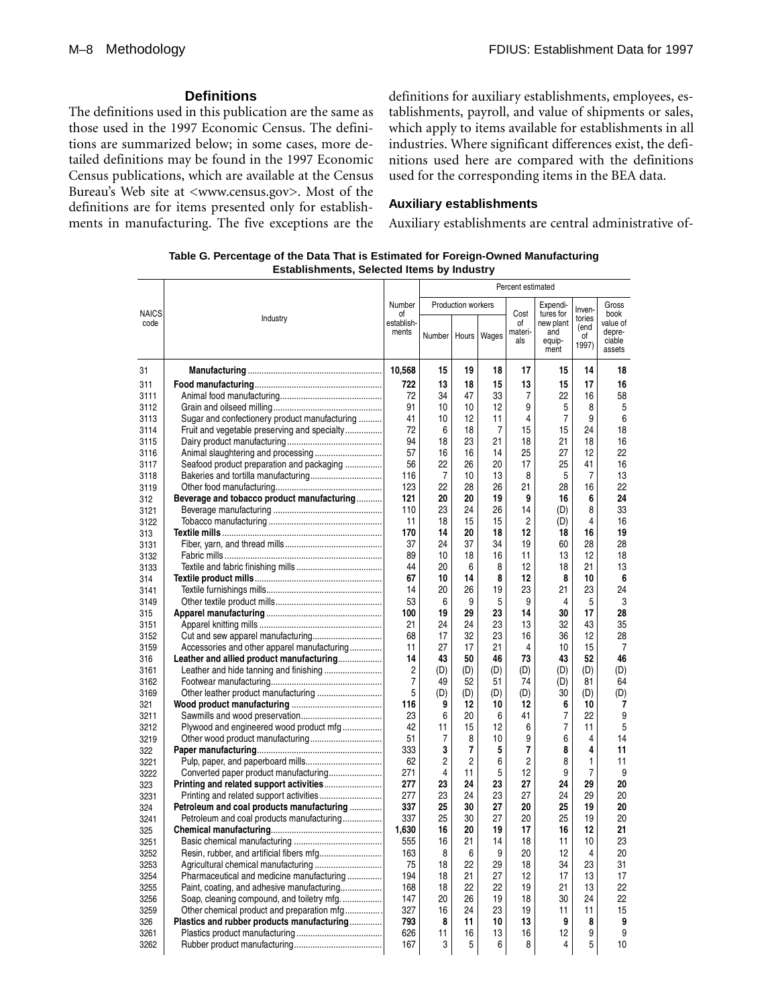#### **Definitions**

The definitions used in this publication are the same as those used in the 1997 Economic Census. The definitions are summarized below; in some cases, more detailed definitions may be found in the 1997 Economic Census publications, which are available at the Census Bureau's Web site at <www.census.gov>. Most of the definitions are for items presented only for establishments in manufacturing. The five exceptions are the definitions for auxiliary establishments, employees, establishments, payroll, and value of shipments or sales, which apply to items available for establishments in all industries. Where significant differences exist, the definitions used here are compared with the definitions used for the corresponding items in the BEA data.

#### **Auxiliary establishments**

Auxiliary establishments are central administrative of-

| Table G. Percentage of the Data That is Estimated for Foreign-Owned Manufacturing |
|-----------------------------------------------------------------------------------|
| <b>Establishments, Selected Items by Industry</b>                                 |

|              |                                                                                          |                     |          |                    |          | Percent estimated    |                                    |                               |                                        |
|--------------|------------------------------------------------------------------------------------------|---------------------|----------|--------------------|----------|----------------------|------------------------------------|-------------------------------|----------------------------------------|
| <b>NAICS</b> |                                                                                          | Number<br>οf        |          | Production workers |          | Cost                 | Expendi-<br>tures for              | Inven-                        | Gross<br>book                          |
| code         | Industry                                                                                 | establish-<br>ments | Number   | Hours              | Wages    | of<br>materi-<br>als | new plant<br>and<br>equip-<br>ment | tories<br>(end<br>ot<br>1997) | value of<br>depre-<br>ciable<br>assets |
| 31           |                                                                                          | 10,568              | 15       | 19                 | 18       | 17                   | 15                                 | 14                            | 18                                     |
| 311          |                                                                                          | 722                 | 13       | 18                 | 15       | 13                   | 15                                 | 17                            | 16                                     |
| 3111         |                                                                                          | 72                  | 34       | 47                 | 33       | 7                    | 22                                 | 16                            | 58                                     |
| 3112         |                                                                                          | 91                  | 10       | 10                 | 12       | 9                    | 5                                  | 8                             | 5                                      |
| 3113         | Sugar and confectionery product manufacturing                                            | 41                  | 10       | 12                 | 11       | 4                    | $\overline{7}$                     | 9                             | 6                                      |
| 3114         | Fruit and vegetable preserving and specialty                                             | 72                  | 6        | 18                 | 7        | 15                   | 15                                 | 24                            | 18                                     |
| 3115         |                                                                                          | 94                  | 18       | 23                 | 21       | 18                   | 21                                 | 18                            | 16                                     |
| 3116         |                                                                                          | 57                  | 16       | 16                 | 14       | 25                   | 27                                 | 12                            | 22                                     |
| 3117         | Seafood product preparation and packaging                                                | 56                  | 22       | 26                 | 20       | 17                   | 25                                 | 41                            | 16                                     |
| 3118         | Bakeries and tortilla manufacturing                                                      | 116                 | 7        | 10                 | 13       | 8                    | 5                                  | 7                             | 13                                     |
| 3119         |                                                                                          | 123                 | 22       | 28                 | 26       | 21                   | 28                                 | 16                            | 22                                     |
| 312          | Beverage and tobacco product manufacturing                                               | 121                 | 20       | 20                 | 19       | 9                    | 16                                 | 6                             | 24                                     |
| 3121         |                                                                                          | 110                 | 23       | 24                 | 26       | 14                   | (D)                                | 8                             | 33                                     |
| 3122         |                                                                                          | 11                  | 18       | 15                 | 15       | 2                    | (D)                                | 4                             | 16                                     |
| 313          |                                                                                          | 170                 | 14       | 20                 | 18       | 12                   | 18                                 | 16                            | 19                                     |
| 3131         |                                                                                          | 37                  | 24       | 37                 | 34       | 19                   | 60                                 | 28                            | 28                                     |
| 3132         |                                                                                          | 89                  | 10       | 18                 | 16       | 11                   | 13                                 | 12                            | 18                                     |
| 3133         |                                                                                          | 44                  | 20       | 6                  | 8        | 12                   | 18                                 | 21                            | 13                                     |
| 314          |                                                                                          | 67                  | 10       | 14                 | 8        | 12                   | 8                                  | 10                            | 6                                      |
| 3141         |                                                                                          | 14<br>53            | 20<br>6  | 26<br>9            | 19<br>5  | 23<br>9              | 21<br>4                            | 23                            | 24<br>3                                |
| 3149         |                                                                                          | 100                 | 19       | 29                 | 23       | 14                   | 30                                 | 5<br>17                       | 28                                     |
| 315          |                                                                                          | 21                  | 24       | 24                 | 23       | 13                   | 32                                 | 43                            | 35                                     |
| 3151<br>3152 |                                                                                          | 68                  | 17       | 32                 | 23       | 16                   | 36                                 | 12                            | 28                                     |
| 3159         | Accessories and other apparel manufacturing                                              | 11                  | 27       | 17                 | 21       | 4                    | 10                                 | 15                            | 7                                      |
| 316          | Leather and allied product manufacturing                                                 | 14                  | 43       | 50                 | 46       | 73                   | 43                                 | 52                            | 46                                     |
| 3161         |                                                                                          | 2                   | (D)      | (D)                | (D)      | (D)                  | (D)                                | (D)                           | (D)                                    |
| 3162         |                                                                                          | 7                   | 49       | 52                 | 51       | 74                   | (D)                                | 81                            | 64                                     |
| 3169         |                                                                                          | 5                   | (D)      | (D)                | (D)      | (D)                  | 30                                 | (D)                           | (D)                                    |
| 321          |                                                                                          | 116                 | 9        | 12                 | 10       | 12                   | 6                                  | 10                            | 7                                      |
| 3211         |                                                                                          | 23                  | 6        | 20                 | 6        | 41                   | 7                                  | 22                            | 9                                      |
| 3212         | Plywood and engineered wood product mfg                                                  | 42                  | 11       | 15                 | 12       | 6                    | 7                                  | 11                            | 5                                      |
| 3219         |                                                                                          | 51                  | 7        | 8                  | 10       | 9                    | 6                                  | 4                             | 14                                     |
| 322          |                                                                                          | 333                 | 3        | 7                  | 5        | 7                    | 8                                  | 4                             | 11                                     |
| 3221         |                                                                                          | 62                  | 2        | 2                  | 6        | 2                    | 8                                  | 1                             | 11                                     |
| 3222         |                                                                                          | 271                 | 4        | 11                 | 5        | 12                   | 9                                  | 7                             | 9                                      |
| 323          |                                                                                          | 277                 | 23       | 24                 | 23       | 27                   | 24                                 | 29                            | 20                                     |
| 3231         |                                                                                          | 277                 | 23       | 24                 | 23       | 27                   | 24                                 | 29                            | 20                                     |
| 324          | Petroleum and coal products manufacturing                                                | 337                 | 25       | 30                 | 27       | 20                   | 25                                 | 19                            | 20                                     |
| 3241         | Petroleum and coal products manufacturing                                                | 337                 | 25       | 30                 | 27       | 20                   | 25                                 | 19                            | 20                                     |
| 325          |                                                                                          | 1,630               | 16       | 20                 | 19       | 17                   | 16                                 | 12                            | 21                                     |
| 3251         |                                                                                          | 555                 | 16       | 21                 | 14       | 18                   | 11                                 | 10<br>$\lambda$               | 23                                     |
| 3252         | Resin, rubber, and artificial fibers mfg                                                 | 163                 | 8        | 6                  | 9        | 20                   | 12                                 |                               | 20                                     |
| 3253         |                                                                                          | 75                  | 18       | 22                 | 29       | 18                   | 34                                 | 23                            | 31                                     |
| 3254         | Pharmaceutical and medicine manufacturing                                                | 194                 | 18       | 21                 | 27       | 12                   | 17                                 | 13                            | 17                                     |
| 3255         | Paint, coating, and adhesive manufacturing                                               | 168<br>147          | 18<br>20 | 22<br>26           | 22       | 19<br>18             | 21<br>30                           | 13<br>24                      | 22                                     |
| 3256         | Soap, cleaning compound, and toiletry mfg.<br>Other chemical product and preparation mfg | 327                 | 16       | 24                 | 19<br>23 | 19                   | 11                                 | 11                            | 22<br>15                               |
| 3259<br>326  | Plastics and rubber products manufacturing                                               | 793                 | 8        | 11                 | 10       | 13                   | 9                                  | 8                             | 9                                      |
| 3261         |                                                                                          | 626                 | 11       | 16                 | 13       | 16                   | 12                                 | 9                             | 9                                      |
| 3262         |                                                                                          | 167                 | 3        | 5                  | 6        | 8                    | 4                                  | 5                             | 10                                     |
|              |                                                                                          |                     |          |                    |          |                      |                                    |                               |                                        |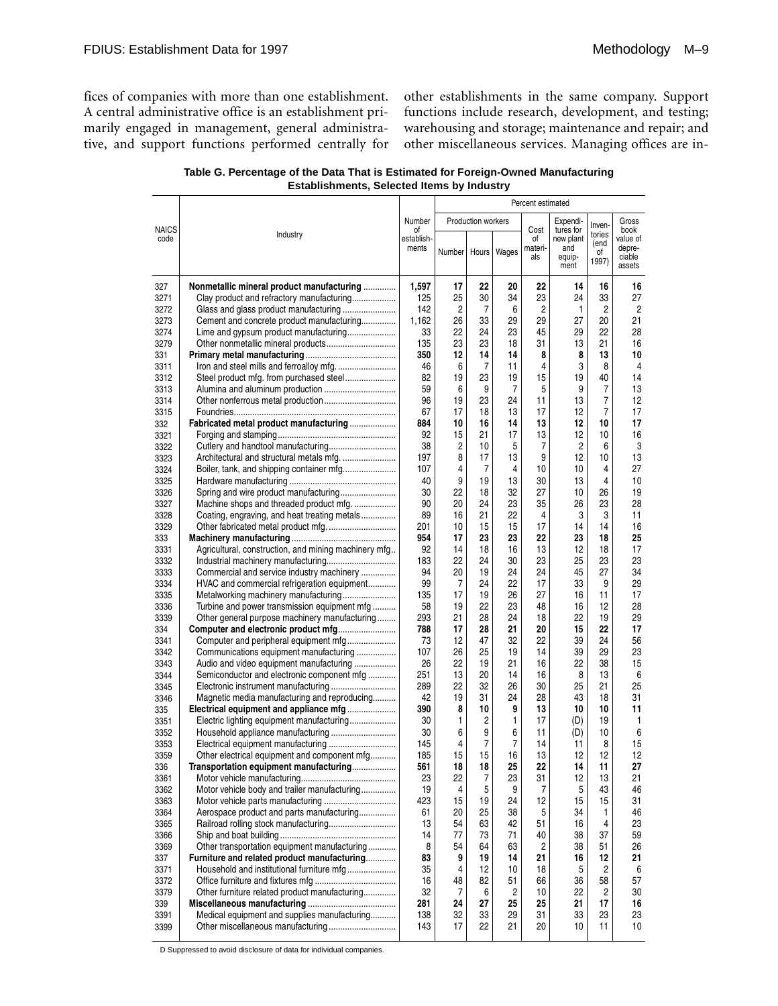fices of companies with more than one establishment. A central administrative office is an establishment primarily engaged in management, general administrative, and support functions performed centrally for other establishments in the same company. Support functions include research, development, and testing; warehousing and storage; maintenance and repair; and other miscellaneous services. Managing offices are in-

| Table G. Percentage of the Data That is Estimated for Foreign-Owned Manufacturing |
|-----------------------------------------------------------------------------------|
| <b>Establishments, Selected Items by Industry</b>                                 |

|                      |                                                                                          |                           |              |                           |          | Percent estimated            |                                                 |                               |                                                |
|----------------------|------------------------------------------------------------------------------------------|---------------------------|--------------|---------------------------|----------|------------------------------|-------------------------------------------------|-------------------------------|------------------------------------------------|
|                      |                                                                                          | Number                    |              | <b>Production workers</b> |          |                              | Expendi-                                        | Inven-                        | Gross                                          |
| <b>NAICS</b><br>code | Industry                                                                                 | οf<br>establish-<br>ments | Number Hours |                           | Wages    | Cost<br>οf<br>materi-<br>als | tures for<br>new plant<br>and<br>equip-<br>ment | tories<br>(end<br>οf<br>1997) | book<br>value of<br>depre-<br>ciable<br>assets |
|                      |                                                                                          |                           |              |                           |          |                              |                                                 |                               |                                                |
| 327                  | Nonmetallic mineral product manufacturing                                                | 1,597                     | 17           | 22                        | 20<br>34 | 22                           | 14<br>24                                        | 16                            | 16                                             |
| 3271                 | Clay product and refractory manufacturing                                                | 125<br>142                | 25<br>2      | 30<br>7                   | 6        | 23<br>2                      | $\mathbf{1}$                                    | 33<br>2                       | 27<br>$\overline{2}$                           |
| 3272<br>3273         | Cement and concrete product manufacturing                                                | 1,162                     | 26           | 33                        | 29       | 29                           | 27                                              | 20                            | 21                                             |
| 3274                 | Lime and gypsum product manufacturing                                                    | 33                        | 22           | 24                        | 23       | 45                           | 29                                              | 22                            | 28                                             |
| 3279                 | Other nonmetallic mineral products                                                       | 135                       | 23           | 23                        | 18       | 31                           | 13                                              | 21                            | 16                                             |
| 331                  |                                                                                          | 350                       | 12           | 14                        | 14       | 8                            | 8                                               | 13                            | 10                                             |
| 3311                 |                                                                                          | 46                        | 6            | 7                         | 11       | 4                            | 3                                               | 8                             | 4                                              |
| 3312                 |                                                                                          | 82                        | 19           | 23                        | 19       | 15                           | 19                                              | 40                            | 14                                             |
| 3313                 | Alumina and aluminum production                                                          | 59                        | 6            | 9                         | 7        | 5                            | 9                                               | 7                             | 13                                             |
| 3314                 |                                                                                          | 96                        | 19           | 23                        | 24       | 11                           | 13                                              | 7                             | 12                                             |
| 3315                 |                                                                                          | 67                        | 17           | 18                        | 13       | 17                           | 12                                              | 7                             | 17                                             |
| 332                  | Fabricated metal product manufacturing                                                   | 884                       | 10           | 16                        | 14       | 13                           | 12                                              | 10                            | 17                                             |
| 3321                 |                                                                                          | 92                        | 15           | 21                        | 17       | 13                           | 12                                              | 10                            | 16                                             |
| 3322                 |                                                                                          | 38                        | 2            | 10                        | 5        | 7                            | 2                                               | 6                             | 3                                              |
| 3323                 | Architectural and structural metals mfg.                                                 | 197                       | 8            | 17                        | 13       | 9                            | 12                                              | 10                            | 13                                             |
| 3324                 | Boiler, tank, and shipping container mfg                                                 | 107                       | 4            | 7                         | 4        | 10                           | 10                                              | 4                             | 27                                             |
| 3325                 |                                                                                          | 40                        | 9            | 19                        | 13       | 30                           | 13                                              | 4                             | 10                                             |
| 3326                 |                                                                                          | 30                        | 22           | 18                        | 32       | 27                           | 10                                              | 26                            | 19                                             |
| 3327                 | Machine shops and threaded product mfg.                                                  | 90                        | 20           | 24                        | 23       | 35                           | 26                                              | 23                            | 28                                             |
| 3328                 | Coating, engraving, and heat treating metals                                             | 89                        | 16           | 21                        | 22       | 4                            | 3                                               | 3                             | 11                                             |
| 3329                 | Other fabricated metal product mfg.                                                      | 201                       | 10           | 15                        | 15       | 17                           | 14                                              | 14                            | 16                                             |
| 333                  |                                                                                          | 954                       | 17           | 23                        | 23       | 22                           | 23                                              | 18                            | 25                                             |
| 3331                 | Agricultural, construction, and mining machinery mfg                                     | 92                        | 14           | 18                        | 16       | 13<br>23                     | 12<br>25                                        | 18                            | 17<br>23                                       |
| 3332                 |                                                                                          | 183<br>94                 | 22<br>20     | 24<br>19                  | 30<br>24 | 24                           | 45                                              | 23<br>27                      | 34                                             |
| 3333<br>3334         | Commercial and service industry machinery<br>HVAC and commercial refrigeration equipment | 99                        | 7            | 24                        | 22       | 17                           | 33                                              | 9                             | 29                                             |
| 3335                 | Metalworking machinery manufacturing                                                     | 135                       | 17           | 19                        | 26       | 27                           | 16                                              | 11                            | 17                                             |
| 3336                 | Turbine and power transmission equipment mfg                                             | 58                        | 19           | 22                        | 23       | 48                           | 16                                              | 12                            | 28                                             |
| 3339                 | Other general purpose machinery manufacturing                                            | 293                       | 21           | 28                        | 24       | 18                           | 22                                              | 19                            | 29                                             |
| 334                  | Computer and electronic product mfg                                                      | 788                       | 17           | 28                        | 21       | 20                           | 15                                              | 22                            | 17                                             |
| 3341                 | Computer and peripheral equipment mfg                                                    | 73                        | 12           | 47                        | 32       | 22                           | 39                                              | 24                            | 56                                             |
| 3342                 | Communications equipment manufacturing                                                   | 107                       | 26           | 25                        | 19       | 14                           | 39                                              | 29                            | 23                                             |
| 3343                 | Audio and video equipment manufacturing                                                  | 26                        | 22           | 19                        | 21       | 16                           | 22                                              | 38                            | 15                                             |
| 3344                 | Semiconductor and electronic component mfg                                               | 251                       | 13           | 20                        | 14       | 16                           | 8                                               | 13                            | 6                                              |
| 3345                 |                                                                                          | 289                       | 22           | 32                        | 26       | 30                           | 25                                              | 21                            | 25                                             |
| 3346                 | Magnetic media manufacturing and reproducing                                             | 42                        | 19           | 31                        | 24       | 28                           | 43                                              | 18                            | 31                                             |
| 335                  | Electrical equipment and appliance mfg                                                   | 390                       | 8            | 10                        | 9        | 13                           | 10                                              | 10                            | 11                                             |
| 3351                 | Electric lighting equipment manufacturing                                                | 30                        | 1            | 2                         | 1        | 17                           | (D)                                             | 19                            | 1                                              |
| 3352                 |                                                                                          | 30                        | 6            | 9                         | 6        | 11                           | (D)                                             | 10                            | 6                                              |
| 3353                 |                                                                                          | 145                       | 4            | 7                         | 7        | 14                           | 11                                              | 8                             | 15                                             |
| 3359                 | Other electrical equipment and component mfg                                             | 185<br>561                | 15<br>18     | 15<br>18                  | 16<br>25 | 13<br>22                     | 12<br>14                                        | 12<br>11                      | 12<br>27                                       |
| 336<br>3361          | Transportation equipment manufacturing                                                   | 23                        | 22           | $\overline{7}$            | 23       | 31                           | 12                                              | 13                            | 21                                             |
| 3362                 | Motor vehicle body and trailer manufacturing                                             | 19                        | 4            | 5                         | 9        | 7                            | 5                                               | 43                            | 46                                             |
| 3363                 |                                                                                          | 423                       | 15           | 19                        | 24       | 12                           | 15                                              | 15                            | 31                                             |
| 3364                 | Aerospace product and parts manufacturing                                                | 61                        | 20           | 25                        | 38       | 5                            | 34                                              | 1                             | 46                                             |
| 3365                 |                                                                                          | 13                        | 54           | 63                        | 42       | 51                           | 16                                              | 4                             | 23                                             |
| 3366                 |                                                                                          | 14                        | 77           | 73                        | 71       | 40                           | 38                                              | 37                            | 59                                             |
| 3369                 | Other transportation equipment manufacturing                                             | 8                         | 54           | 64                        | 63       | 2                            | 38                                              | 51                            | 26                                             |
| 337                  | Furniture and related product manufacturing                                              | 83                        | 9            | 19                        | 14       | 21                           | 16                                              | 12                            | 21                                             |
| 3371                 | Household and institutional furniture mfg                                                | 35                        | 4            | 12                        | 10       | 18                           | 5                                               | 2                             | 6                                              |
| 3372                 |                                                                                          | 16                        | 48           | 82                        | 51       | 66                           | 36                                              | 58                            | 57                                             |
| 3379                 | Other furniture related product manufacturing                                            | 32                        | 7            | 6                         | 2        | 10                           | 22                                              | 2                             | 30                                             |
| 339                  |                                                                                          | 281                       | 24           | 27                        | 25       | 25                           | 21                                              | 17                            | 16                                             |
| 3391                 | Medical equipment and supplies manufacturing                                             | 138                       | 32           | 33                        | 29       | 31                           | 33                                              | 23                            | 23                                             |
| 3399                 |                                                                                          | 143                       | 17           | 22                        | 21       | 20                           | 10                                              | 11                            | 10                                             |
|                      |                                                                                          |                           |              |                           |          |                              |                                                 |                               |                                                |

D Suppressed to avoid disclosure of data for individual companies.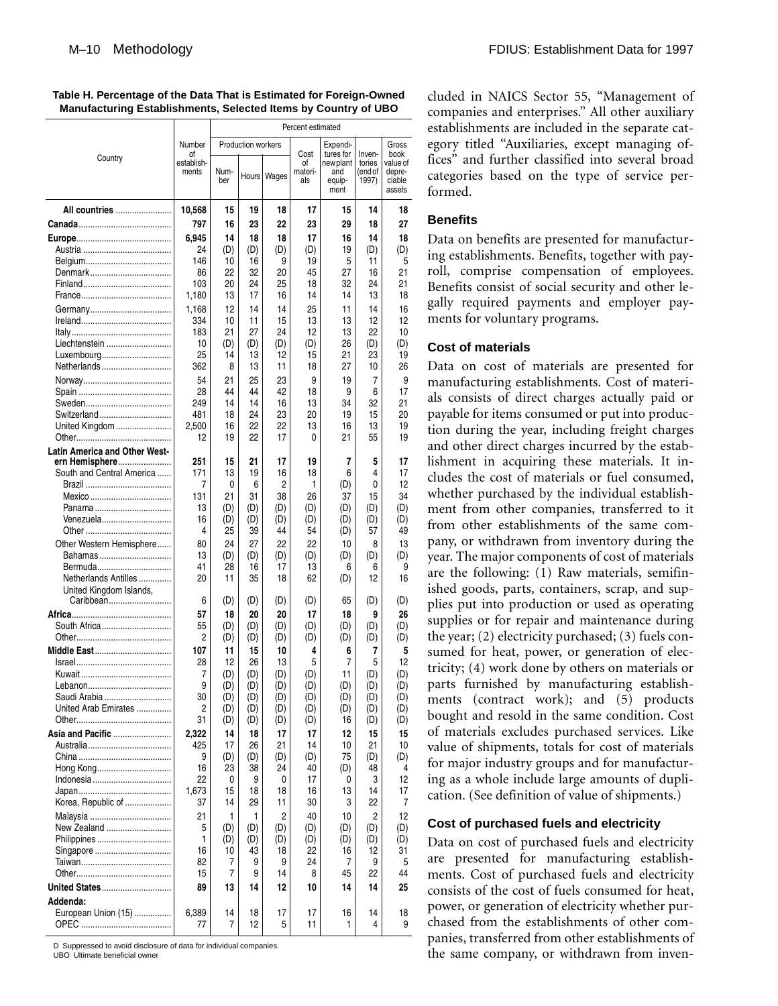#### **Table H. Percentage of the Data That is Estimated for Foreign-Owned Manufacturing Establishments, Selected Items by Country of UBO**

|                                      |                  | Percent estimated |                           |           |            |                       |                  |                  |  |  |  |  |  |
|--------------------------------------|------------------|-------------------|---------------------------|-----------|------------|-----------------------|------------------|------------------|--|--|--|--|--|
|                                      | Number           |                   | <b>Production workers</b> |           |            | Expendi-              |                  | Gross            |  |  |  |  |  |
| Country                              | οf<br>establish- |                   |                           |           | Cost<br>of | tures for<br>newplant | Inven-<br>tories | book<br>value of |  |  |  |  |  |
|                                      | ments            | Num-              | Hours                     | Wages     | materi-    | and                   | (end of          | depre-           |  |  |  |  |  |
|                                      |                  | ber               |                           |           | als        | equip-<br>ment        | 1997)            | ciable<br>assets |  |  |  |  |  |
|                                      |                  |                   |                           |           |            |                       |                  |                  |  |  |  |  |  |
| All countries                        | 10,568           | 15                | 19                        | 18        | 17         | 15                    | 14               | 18               |  |  |  |  |  |
|                                      | 797              | 16                | 23                        | 22        | 23         | 29                    | 18               | 27               |  |  |  |  |  |
|                                      | 6,945            | 14                | 18                        | 18        | 17         | 16                    | 14               | 18               |  |  |  |  |  |
|                                      | 24<br>146        | (D)<br>10         | (D)<br>16                 | (D)<br>9  | (D)<br>19  | 19<br>5               | (D)<br>11        | (D)<br>5         |  |  |  |  |  |
|                                      | 86               | 22                | 32                        | 20        | 45         | 27                    | 16               | 21               |  |  |  |  |  |
|                                      | 103              | 20                | 24                        | 25        | 18         | 32                    | 24               | 21               |  |  |  |  |  |
|                                      | 1,180            | 13                | 17                        | 16        | 14         | 14                    | 13               | 18               |  |  |  |  |  |
|                                      | 1,168            | 12                | 14                        | 14        | 25         | 11                    | 14               | 16               |  |  |  |  |  |
|                                      | 334              | 10                | 11                        | 15        | 13         | 13                    | 12               | 12               |  |  |  |  |  |
|                                      | 183              | 21                | 27                        | 24        | 12         | 13                    | 22               | 10               |  |  |  |  |  |
| Liechtenstein<br>Luxembourg          | 10<br>25         | (D)<br>14         | (D)<br>13                 | (D)<br>12 | (D)<br>15  | 26<br>21              | (D)<br>23        | (D)<br>19        |  |  |  |  |  |
| Netherlands                          | 362              | 8                 | 13                        | 11        | 18         | 27                    | 10               | 26               |  |  |  |  |  |
|                                      | 54               | 21                | 25                        | 23        | 9          | 19                    | 7                | 9                |  |  |  |  |  |
|                                      | 28               | 44                | 44                        | 42        | 18         | 9                     | 6                | 17               |  |  |  |  |  |
|                                      | 249              | 14                | 14                        | 16        | 13         | 34                    | 32               | 21               |  |  |  |  |  |
| Switzerland                          | 481              | 18                | 24                        | 23        | 20         | 19                    | 15               | 20               |  |  |  |  |  |
| United Kingdom                       | 2.500<br>12      | 16<br>19          | 22<br>22                  | 22<br>17  | 13<br>0    | 16<br>21              | 13<br>55         | 19<br>19         |  |  |  |  |  |
| <b>Latin America and Other West-</b> |                  |                   |                           |           |            |                       |                  |                  |  |  |  |  |  |
| ern Hemisphere                       | 251              | 15                | 21                        | 17        | 19         | 7                     | 5                | 17               |  |  |  |  |  |
| South and Central America            | 171              | 13                | 19                        | 16        | 18         | 6                     | 4                | 17               |  |  |  |  |  |
|                                      | 7                | 0                 | 6                         | 2         | 1          | (D)                   | 0                | 12               |  |  |  |  |  |
| Mexico<br>Panama                     | 131<br>13        | 21<br>(D)         | 31<br>(D)                 | 38<br>(D) | 26<br>(D)  | 37<br>(D)             | 15<br>(D)        | 34<br>(D)        |  |  |  |  |  |
| Venezuela                            | 16               | (D)               | (D)                       | (D)       | (D)        | (D)                   | (D)              | (D)              |  |  |  |  |  |
|                                      | 4                | 25                | 39                        | 44        | 54         | (D)                   | 57               | 49               |  |  |  |  |  |
| Other Western Hemisphere             | 80               | 24                | 27                        | 22        | 22         | 10                    | 8                | 13               |  |  |  |  |  |
| Bahamas                              | 13               | (D)               | (D)                       | (D)       | (D)        | (D)                   | (D)              | (D)              |  |  |  |  |  |
| Bermuda<br>Netherlands Antilles      | 41<br>20         | 28<br>11          | 16<br>35                  | 17<br>18  | 13<br>62   | 6                     | 6<br>12          | 9<br>16          |  |  |  |  |  |
| United Kingdom Islands,              |                  |                   |                           |           |            | (D)                   |                  |                  |  |  |  |  |  |
| Caribbean                            | 6                | (D)               | (D)                       | (D)       | (D)        | 65                    | (D)              | (D)              |  |  |  |  |  |
|                                      | 57               | 18                | 20                        | 20        | 17         | 18                    | 9                | 26               |  |  |  |  |  |
| South Africa                         | 55               | (D)               | (D)                       | (D)       | (D)        | (D)                   | (D)              | (D)              |  |  |  |  |  |
|                                      | 2                | (D)               | (D)                       | (D)       | (D)        | (D)                   | (D)              | (D)              |  |  |  |  |  |
| <b>Middle East </b>                  | 107<br>28        | 11<br>12          | 15<br>26                  | 10<br>13  | 4<br>5     | 6<br>7                | 7<br>5           | 5<br>12          |  |  |  |  |  |
|                                      | 7                | (D)               | (D)                       | (D)       | (D)        | 11                    | (D)              | (D)              |  |  |  |  |  |
|                                      | 9                | (U)               | (U)                       | (U)       | (D)        | (D)                   | (D)              | (U)              |  |  |  |  |  |
| Saudi Arabia                         | 30               | (D)               | (D)                       | (D)       | (D)        | (D)                   | (D)              | (D)              |  |  |  |  |  |
| United Arab Emirates                 | 2                | (D)               | (D)                       | (D)       | (D)        | (D)                   | (D)              | (D)              |  |  |  |  |  |
| Asia and Pacific                     | 31               | (D)               | (D)                       | (D)       | (D)        | 16                    | (D)              | (D)              |  |  |  |  |  |
|                                      | 2,322<br>425     | 14<br>17          | 18<br>26                  | 17<br>21  | 17<br>14   | 12<br>10              | 15<br>21         | 15<br>10         |  |  |  |  |  |
|                                      | 9                | (D)               | (D)                       | (D)       | (D)        | 75                    | (D)              | (D)              |  |  |  |  |  |
| Hong Kong                            | 16               | 23                | 38                        | 24        | 40         | (D)                   | 48               | 4                |  |  |  |  |  |
|                                      | 22               | 0                 | 9                         | 0         | 17         | 0                     | 3                | 12               |  |  |  |  |  |
|                                      | 1,673            | 15                | 18                        | 18        | 16         | 13                    | 14               | 17               |  |  |  |  |  |
| Korea, Republic of                   | 37               | 14                | 29                        | 11        | 30         | 3                     | 22               | 7                |  |  |  |  |  |
| New Zealand                          | 21<br>5          | 1<br>(D)          | 1<br>(D)                  | 2<br>(D)  | 40<br>(D)  | 10<br>(D)             | 2<br>(D)         | 12<br>(D)        |  |  |  |  |  |
| Philippines                          | 1                | (D)               | (D)                       | (D)       | (D)        | (D)                   | (D)              | (D)              |  |  |  |  |  |
|                                      | 16               | 10                | 43                        | 18        | 22         | 16                    | 12               | 31               |  |  |  |  |  |
|                                      | 82               | 7                 | 9                         | 9         | 24         | 7                     | 9                | 5                |  |  |  |  |  |
|                                      | 15               | 7                 | 9                         | 14        | 8          | 45                    | 22               | 44               |  |  |  |  |  |
| United States                        | 89               | 13                | 14                        | 12        | 10         | 14                    | 14               | 25               |  |  |  |  |  |
| Addenda:<br>European Union (15)      | 6,389            | 14                | 18                        | 17        | 17         | 16                    | 14               | 18               |  |  |  |  |  |
|                                      | 77               | 7                 | 12                        | 5         | 11         | 1                     | 4                | 9                |  |  |  |  |  |
|                                      |                  |                   |                           |           |            |                       |                  |                  |  |  |  |  |  |

D Suppressed to avoid disclosure of data for individual companies. UBO Ultimate beneficial owner

cluded in NAICS Sector 55, "Management of companies and enterprises." All other auxiliary establishments are included in the separate category titled "Auxiliaries, except managing offices" and further classified into several broad categories based on the type of service performed.

# **Benefits**

Data on benefits are presented for manufacturing establishments. Benefits, together with payroll, comprise compensation of employees. Benefits consist of social security and other legally required payments and employer payments for voluntary programs.

## **Cost of materials**

Data on cost of materials are presented for manufacturing establishments. Cost of materials consists of direct charges actually paid or payable for items consumed or put into production during the year, including freight charges and other direct charges incurred by the establishment in acquiring these materials. It includes the cost of materials or fuel consumed, whether purchased by the individual establishment from other companies, transferred to it from other establishments of the same company, or withdrawn from inventory during the year. The major components of cost of materials are the following: (1) Raw materials, semifinished goods, parts, containers, scrap, and supplies put into production or used as operating supplies or for repair and maintenance during the year; (2) electricity purchased; (3) fuels consumed for heat, power, or generation of electricity; (4) work done by others on materials or parts furnished by manufacturing establishments (contract work); and (5) products bought and resold in the same condition. Cost of materials excludes purchased services. Like value of shipments, totals for cost of materials for major industry groups and for manufacturing as a whole include large amounts of duplication. (See definition of value of shipments.)

#### **Cost of purchased fuels and electricity**

Data on cost of purchased fuels and electricity are presented for manufacturing establishments. Cost of purchased fuels and electricity consists of the cost of fuels consumed for heat, power, or generation of electricity whether purchased from the establishments of other companies, transferred from other establishments of the same company, or withdrawn from inven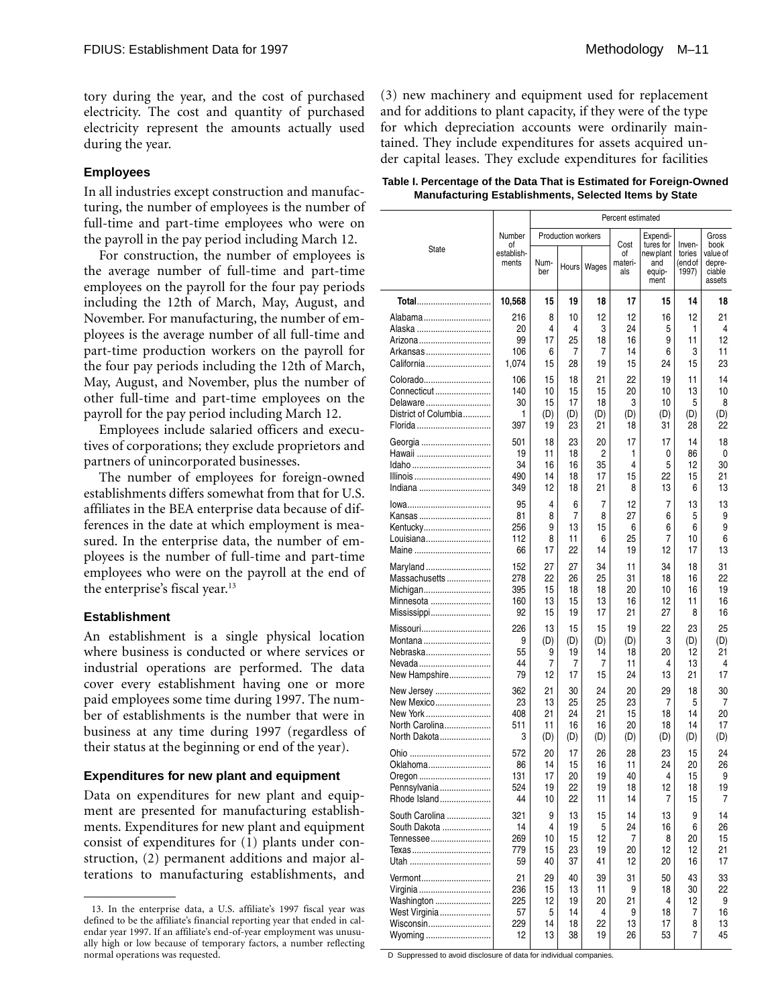tory during the year, and the cost of purchased electricity. The cost and quantity of purchased electricity represent the amounts actually used during the year.

# **Employees**

In all industries except construction and manufacturing, the number of employees is the number of full-time and part-time employees who were on the payroll in the pay period including March 12.

For construction, the number of employees is the average number of full-time and part-time employees on the payroll for the four pay periods including the 12th of March, May, August, and November. For manufacturing, the number of employees is the average number of all full-time and part-time production workers on the payroll for the four pay periods including the 12th of March, May, August, and November, plus the number of other full-time and part-time employees on the payroll for the pay period including March 12.

Employees include salaried officers and executives of corporations; they exclude proprietors and partners of unincorporated businesses.

The number of employees for foreign-owned establishments differs somewhat from that for U.S. affiliates in the BEA enterprise data because of differences in the date at which employment is measured. In the enterprise data, the number of employees is the number of full-time and part-time employees who were on the payroll at the end of the enterprise's fiscal year.13

# **Establishment**

An establishment is a single physical location where business is conducted or where services or industrial operations are performed. The data cover every establishment having one or more paid employees some time during 1997. The number of establishments is the number that were in business at any time during 1997 (regardless of their status at the beginning or end of the year).

# **Expenditures for new plant and equipment**

Data on expenditures for new plant and equipment are presented for manufacturing establishments. Expenditures for new plant and equipment consist of expenditures for (1) plants under construction, (2) permanent additions and major alterations to manufacturing establishments, and (3) new machinery and equipment used for replacement and for additions to plant capacity, if they were of the type for which depreciation accounts were ordinarily maintained. They include expenditures for assets acquired under capital leases. They exclude expenditures for facilities

| Table I. Percentage of the Data That is Estimated for Foreign-Owned |  |
|---------------------------------------------------------------------|--|
| <b>Manufacturing Establishments, Selected Items by State</b>        |  |

|                             |                           | Percent estimated |                    |           |                              |                                                 |                                      |                                                |  |  |  |  |
|-----------------------------|---------------------------|-------------------|--------------------|-----------|------------------------------|-------------------------------------------------|--------------------------------------|------------------------------------------------|--|--|--|--|
|                             | Number                    |                   | Production workers |           |                              | Expendi-                                        |                                      |                                                |  |  |  |  |
| State                       | οf<br>establish-<br>ments | Num-<br>ber       | Hours              | Wages     | Cost<br>οf<br>materi-<br>als | tures for<br>new plant<br>and<br>equip-<br>ment | Inven-<br>tories<br>(end of<br>1997) | book<br>value of<br>depre-<br>ciable<br>assets |  |  |  |  |
| Total                       | 10,568                    | 15                | 19                 | 18        | 17                           | 15                                              | 14                                   | 18                                             |  |  |  |  |
| Alabama                     | 216                       | 8                 | 10                 | 12        | 12                           | 16                                              | 12                                   | 21                                             |  |  |  |  |
| Alaska<br>Arizona           | 20<br>99                  | 4<br>17           | 4<br>25            | 3<br>18   | 24<br>16                     | 5<br>9                                          | 1<br>11                              | 4<br>12                                        |  |  |  |  |
| Arkansas                    | 106                       | 6                 | 7                  | 7         | 14                           | 6                                               | 3                                    | 11                                             |  |  |  |  |
| California                  | 1.074                     | 15                | 28                 | 19        | 15                           | 24                                              | 15                                   | 23                                             |  |  |  |  |
| Colorado                    | 106                       | 15                | 18                 | 21        | 22                           | 19                                              | 11                                   | 14                                             |  |  |  |  |
| Connecticut<br>Delaware     | 140<br>30                 | 10<br>15          | 15<br>17           | 15<br>18  | 20<br>3                      | 10<br>10                                        | 13<br>5                              | 10<br>8                                        |  |  |  |  |
| District of Columbia        | 1                         | (D)               | (D)                | (D)       | (D)                          | (D)                                             | (D)                                  | (D)                                            |  |  |  |  |
| Florida                     | 397                       | 19                | 23                 | 21        | 18                           | 31                                              | 28                                   | 22                                             |  |  |  |  |
|                             | 501                       | 18                | 23                 | 20        | 17                           | 17                                              | 14                                   | 18                                             |  |  |  |  |
| Hawaii                      | 19<br>34                  | 11<br>16          | 18<br>16           | 2<br>35   | 1<br>4                       | 0<br>5                                          | 86<br>12                             | 0<br>30                                        |  |  |  |  |
| Illinois                    | 490                       | 14                | 18                 | 17        | 15                           | 22                                              | 15                                   | 21                                             |  |  |  |  |
| Indiana                     | 349                       | 12                | 18                 | 21        | 8                            | 13                                              | 6                                    | 13                                             |  |  |  |  |
| lowa                        | 95                        | 4                 | 6                  | 7         | 12                           | 7                                               | 13                                   | 13                                             |  |  |  |  |
| Kansas<br>Kentucky          | 81<br>256                 | 8<br>9            | 7<br>13            | 8<br>15   | 27<br>6                      | 6<br>6                                          | 5<br>6                               | 9<br>9                                         |  |  |  |  |
| Louisiana                   | 112                       | 8                 | 11                 | 6         | 25                           | 7                                               | 10                                   | 6                                              |  |  |  |  |
| Maine                       | 66                        | 17                | 22                 | 14        | 19                           | 12                                              | 17                                   | 13                                             |  |  |  |  |
| Maryland                    | 152                       | 27                | 27                 | 34        | 11                           | 34                                              | 18                                   | 31                                             |  |  |  |  |
| Massachusetts<br>Michigan   | 278<br>395                | 22<br>15          | 26<br>18           | 25<br>18  | 31<br>20                     | 18<br>10                                        | 16<br>16                             | 22<br>19                                       |  |  |  |  |
| Minnesota                   | 160                       | 13                | 15                 | 13        | 16                           | 12                                              | 11                                   | 16                                             |  |  |  |  |
| Mississippi                 | 92                        | 15                | 19                 | 17        | 21                           | 27                                              | 8                                    | 16                                             |  |  |  |  |
| Missouri                    | 226                       | 13                | 15                 | 15        | 19                           | 22                                              | 23                                   | 25                                             |  |  |  |  |
| Montana<br>Nebraska         | 9<br>55                   | (D)<br>9          | (D)<br>19          | (D)<br>14 | (D)<br>18                    | 3<br>20                                         | (D)<br>12                            | (D)<br>21                                      |  |  |  |  |
| Nevada                      | 44                        | 7                 | 7                  | 7         | 11                           | 4                                               | 13                                   | 4                                              |  |  |  |  |
| New Hampshire               | 79                        | 12                | 17                 | 15        | 24                           | 13                                              | 21                                   | 17                                             |  |  |  |  |
| New Jersey                  | 362                       | 21                | 30                 | 24        | 20                           | 29                                              | 18                                   | 30                                             |  |  |  |  |
| New Mexico<br>New York      | 23<br>408                 | 13<br>21          | 25<br>24           | 25<br>21  | 23<br>15                     | 7<br>18                                         | 5<br>14                              | 7<br>20                                        |  |  |  |  |
| North Carolina              | 511                       | 11                | 16                 | 16        | 20                           | 18                                              | 14                                   | 17                                             |  |  |  |  |
| North Dakota                | 3                         | (D)               | (D)                | (D)       | (D)                          | (D)                                             | (D)                                  | (D)                                            |  |  |  |  |
|                             | 572                       | 20                | 17                 | 26        | 28                           | 23                                              | 15                                   | 24                                             |  |  |  |  |
| Oklahoma                    | 86<br>131                 | 14<br>17          | 15<br>20           | 16<br>19  | 11<br>40                     | 24<br>4                                         | 20<br>15                             | 26<br>9                                        |  |  |  |  |
| Oregon<br>Pennsylvania      | 524                       | 19                | 22                 | 19        | 18                           | 12                                              | 18                                   | 19                                             |  |  |  |  |
| Rhode Island                | 44                        | 10                | 22                 | 11        | 14                           | 7                                               | 15                                   | 7                                              |  |  |  |  |
| South Carolina              | 321                       | 9                 | 13                 | 15        | 14                           | 13                                              | 9                                    | 14                                             |  |  |  |  |
| South Dakota<br>Tennessee   | 14<br>269                 | 4<br>10           | 19<br>15           | 5<br>12   | 24<br>7                      | 16<br>8                                         | 6<br>20                              | 26<br>15                                       |  |  |  |  |
| Texas                       | 779                       | 15                | 23                 | 19        | 20                           | 12                                              | 12                                   | 21                                             |  |  |  |  |
|                             | 59                        | 40                | 37                 | 41        | 12                           | 20                                              | 16                                   | 17                                             |  |  |  |  |
| Vermont                     | 21                        | 29                | 40                 | 39        | 31                           | 50                                              | 43                                   | 33                                             |  |  |  |  |
| Virginia                    | 236<br>225                | 15<br>12          | 13<br>19           | 11<br>20  | 9<br>21                      | 18<br>4                                         | 30<br>12                             | 22<br>9                                        |  |  |  |  |
| Washington<br>West Virginia | 57                        | 5                 | 14                 | 4         | 9                            | 18                                              | 7                                    | 16                                             |  |  |  |  |
| Wisconsin                   | 229                       | 14                | 18                 | 22        | 13                           | 17                                              | 8                                    | 13                                             |  |  |  |  |
| Wyoming                     | 12                        | 13                | 38                 | 19        | 26                           | 53                                              | 7                                    | 45                                             |  |  |  |  |

D Suppressed to avoid disclosure of data for individual companies.

<sup>13.</sup> In the enterprise data, a U.S. affiliate's 1997 fiscal year was defined to be the affiliate's financial reporting year that ended in calendar year 1997. If an affiliate's end-of-year employment was unusually high or low because of temporary factors, a number reflecting normal operations was requested.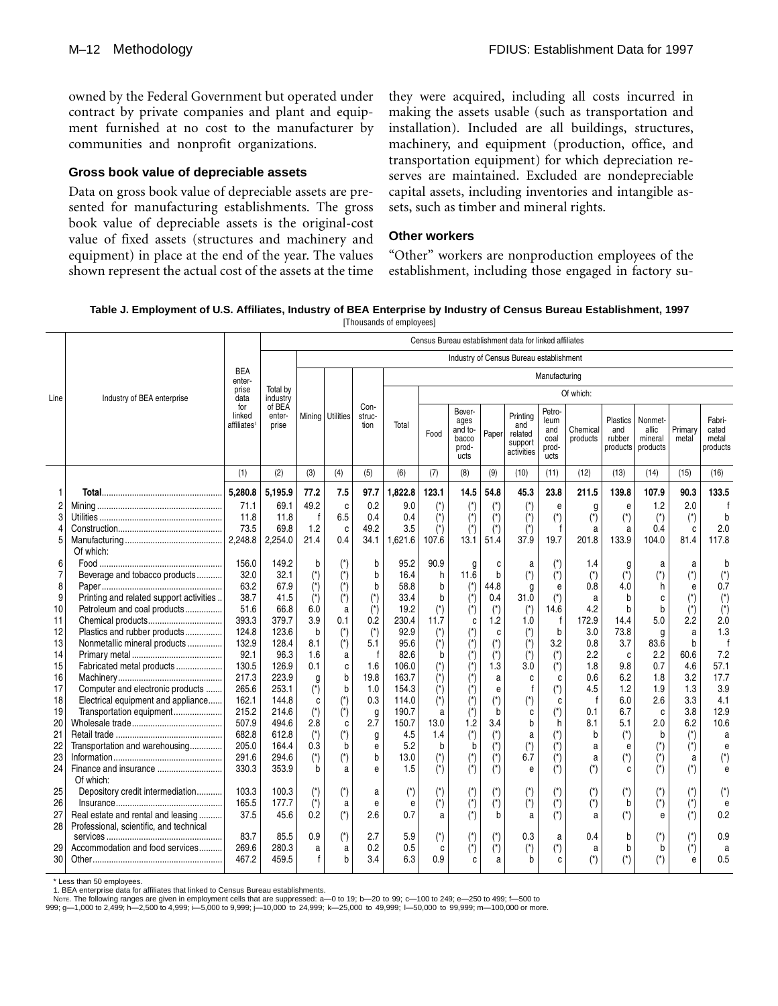owned by the Federal Government but operated under contract by private companies and plant and equipment furnished at no cost to the manufacturer by communities and nonprofit organizations.

#### **Gross book value of depreciable assets**

Data on gross book value of depreciable assets are presented for manufacturing establishments. The gross book value of depreciable assets is the original-cost value of fixed assets (structures and machinery and equipment) in place at the end of the year. The values shown represent the actual cost of the assets at the time

they were acquired, including all costs incurred in making the assets usable (such as transportation and installation). Included are all buildings, structures, machinery, and equipment (production, office, and transportation equipment) for which depreciation reserves are maintained. Excluded are nondepreciable capital assets, including inventories and intangible assets, such as timber and mineral rights.

# **Other workers**

"Other" workers are nonproduction employees of the establishment, including those engaged in factory su-

**Table J. Employment of U.S. Affiliates, Industry of BEA Enterprise by Industry of Census Bureau Establishment, 1997** [Thousands of employees]

|                |                                          |                                          | Census Bureau establishment data for linked affiliates |                       |                            |                        |                       |                       |                                                     |                                |                                                     |                                                |                       |                                       |                                         |                       |                                      |
|----------------|------------------------------------------|------------------------------------------|--------------------------------------------------------|-----------------------|----------------------------|------------------------|-----------------------|-----------------------|-----------------------------------------------------|--------------------------------|-----------------------------------------------------|------------------------------------------------|-----------------------|---------------------------------------|-----------------------------------------|-----------------------|--------------------------------------|
|                |                                          |                                          |                                                        |                       |                            |                        |                       |                       |                                                     |                                | Industry of Census Bureau establishment             |                                                |                       |                                       |                                         |                       |                                      |
|                |                                          | <b>BEA</b><br>enter-                     |                                                        |                       |                            |                        | Manufacturing         |                       |                                                     |                                |                                                     |                                                |                       |                                       |                                         |                       |                                      |
| Line           | Industry of BEA enterprise               | prise<br>data                            | Total by<br>industry                                   |                       |                            |                        |                       |                       |                                                     |                                |                                                     |                                                | Of which:             |                                       |                                         |                       |                                      |
|                |                                          | for<br>linked<br>affiliates <sup>1</sup> | of BEA<br>enter-<br>prise                              |                       | Mining Utilities           | Con-<br>struc-<br>tion | Total                 | Food                  | Bever-<br>ages<br>and to-<br>bacco<br>prod-<br>ucts | Paper                          | Printing<br>and<br>related<br>support<br>activities | Petro-<br>leum<br>and<br>coal<br>prod-<br>ucts | Chemical<br>products  | Plastics<br>and<br>rubber<br>products | Nonmet-<br>allic<br>mineral<br>products | Primary<br>metal      | Fabri-<br>cated<br>metal<br>products |
|                |                                          | (1)                                      | (2)                                                    | (3)                   | (4)                        | (5)                    | (6)                   | (7)                   | (8)                                                 | (9)                            | (10)                                                | (11)                                           | (12)                  | (13)                                  | (14)                                    | (15)                  | (16)                                 |
|                |                                          | 5.280.8                                  | 5.195.9                                                | 77.2                  | 7.5                        | 97.7                   | 1,822.8               | 123.1                 | 14.5                                                | 54.8                           | 45.3                                                | 23.8                                           | 211.5                 | 139.8                                 | 107.9                                   | 90.3                  | 133.5                                |
| 2              |                                          | 71.1                                     | 69.1                                                   | 49.2                  | C                          | 0.2                    | 9.0                   | (*)                   | $(\dot{\phantom{a}})$                               | $(*)$                          | $(\dot{\phantom{a}})$                               | e                                              | g                     | e                                     | 1.2                                     | 2.0                   |                                      |
| 3              |                                          | 11.8                                     | 11.8                                                   | $\mathsf{f}$          | 6.5                        | 0.4                    | 0.4                   | $\vec{r}$             | $(*)$                                               | $(\star)$                      | $(\dot{z})$                                         | $(\dot{a})$                                    | $\overline{(\cdot)}$  | $(\dot{z})$                           | $(\dot{a})$                             | $(\dot{z})$           | b                                    |
| 4              |                                          | 73.5                                     | 69.8                                                   | 1.2                   | C                          | 49.2                   | 3.5                   | $(*)$                 | $(\dot{\phantom{a}})$                               | $(\dot{a})$                    | $(\dot{\phantom{a}})$                               |                                                | a                     | a                                     | 0.4                                     | C                     | 2.0                                  |
| 5              |                                          | 2.248.8                                  | 2,254.0                                                | 21.4                  | 0.4                        | 34.1                   | 1.621.6               | 107.6                 | 13.1                                                | 51.4                           | 37.9                                                | 19.7                                           | 201.8                 | 133.9                                 | 104.0                                   | 81.4                  | 117.8                                |
|                | Of which:                                |                                          |                                                        |                       |                            |                        |                       |                       |                                                     |                                |                                                     |                                                |                       |                                       |                                         |                       |                                      |
| 6              |                                          | 156.0                                    | 149.2                                                  | b                     | $(\dot{\phantom{a}})$      | b                      | 95.2                  | 90.9                  | g                                                   | C                              | a                                                   | $(\dot{\phantom{a}})$                          | 1.4                   | g                                     | a                                       | a                     |                                      |
| $\overline{7}$ | Beverage and tobacco products            | 32.0                                     | 32.1                                                   | $(\dot{a})$           | $(*)$                      | $\mathbf b$            | 16.4                  | h                     | 11.6                                                | $\mathbf b$                    | $(\dot{a})$                                         | $\overline{(\cdot)}$                           | $(\dot{a})$           | $(\dot{z})$                           | $(\dot{r})$                             | $(\dot{a})$           | $(\dot{a})$                          |
| 8              |                                          | 63.2                                     | 67.9                                                   | $(*)$                 | $(\dot{r})$                | b                      | 58.8                  | b                     | $(\dot{\phantom{a}})$                               | 44.8                           | g                                                   | e                                              | 0.8                   | 4.0                                   | h                                       | e                     | 0.7                                  |
| 9              | Printing and related support activities. | 38.7                                     | 41.5                                                   | $(\dot{z})$           | $(\dot{z})$                | $(\dot{a})$            | 33.4                  | b                     | $(\dot{z})$                                         | 0.4                            | 31.0                                                | $(\star)$                                      | a                     | b                                     | C                                       | $(*)$                 | $(\dot{a})$                          |
| 10             | Petroleum and coal products              | 51.6                                     | 66.8                                                   | 6.0                   | a                          | $\overline{(\cdot)}$   | 19.2                  |                       | $(\dot{\phantom{a}})$                               | $(\dot{\phantom{a}})$          | $(\dot{z})$                                         | 14.6                                           | 4.2                   | b                                     | b                                       | $(*)$                 | $(\dot{a})$                          |
| 11             |                                          | 393.3<br>124.8                           | 379.7                                                  | 3.9                   | 0.1                        | 0.2                    | 230.4<br>92.9         | 11.7                  | C                                                   | 1.2                            | 1.0                                                 | f<br>b                                         | 172.9<br>3.0          | 14.4<br>73.8                          | 5.0                                     | 2.2                   | 2.0                                  |
| 12<br>13       | Plastics and rubber products             | 132.9                                    | 123.6<br>128.4                                         | b<br>8.1              | $(*)$                      | $(\dot{a})$<br>5.1     | 95.6                  | $(\dot{\phantom{a}})$ | $(\dot{\phantom{a}})$                               | C                              | $(\dot{\phantom{a}})$                               | 3.2                                            | 0.8                   | 3.7                                   | g<br>83.6                               | a<br>b                | 1.3                                  |
| 14             | Nonmetallic mineral products             | 92.1                                     | 96.3                                                   | 1.6                   | $(\dot{\phantom{a}})$<br>a | $\mathsf{f}$           | 82.6                  | $(\dot{z})$<br>b      | (*)                                                 | $(\dot{\phantom{a}})$<br>$(*)$ | $(\dot{\phantom{a}})$                               | $(\dot{a})$                                    | 2.2                   | C                                     | 2.2                                     | 60.6                  | 7.2                                  |
| 15             | Fabricated metal products                | 130.5                                    | 126.9                                                  | 0.1                   | C                          | 1.6                    | 106.0                 | $(\dot{a})$           | (*)<br>$(\dot{\phantom{a}})$                        | 1.3                            | $(\dot{\phantom{a}})$<br>3.0                        | $(\dot{a})$                                    | 1.8                   | 9.8                                   | 0.7                                     | 4.6                   | 57.1                                 |
| 16             |                                          | 217.3                                    | 223.9                                                  | g                     | b                          | 19.8                   | 163.7                 | $(\dot{\phantom{a}})$ |                                                     | a                              | C                                                   | C                                              | 0.6                   | 6.2                                   | 1.8                                     | 3.2                   | 17.7                                 |
| 17             | Computer and electronic products         | 265.6                                    | 253.1                                                  | $\overline{(\cdot)}$  | b                          | 1.0                    | 154.3                 | $\overline{(\cdot)}$  |                                                     | e                              | $\mathsf{f}$                                        | $(\dot{a})$                                    | 4.5                   | 1.2                                   | 1.9                                     | 1.3                   | 3.9                                  |
| 18             | Electrical equipment and appliance       | 162.1                                    | 144.8                                                  | C                     | $(\dot{\phantom{a}})$      | 0.3                    | 114.0                 | $(\dot{a})$           | (*)                                                 | $(\dot{a})$                    | $(\dot{\phantom{a}})$                               | C                                              | $\mathsf{f}$          | 6.0                                   | 2.6                                     | 3.3                   | 4.1                                  |
| 19             | Transportation equipment                 | 215.2                                    | 214.6                                                  | $(*)$                 | $(*)$                      | g                      | 190.7                 | a                     | $(\dot{\phantom{a}})$                               | b                              | C                                                   | $(\dot{a})$                                    | 0.1                   | 6.7                                   | C                                       | 3.8                   | 12.9                                 |
| 20             |                                          | 507.9                                    | 494.6                                                  | 2.8                   | C                          | 2.7                    | 150.7                 | 13.0                  | 1.2                                                 | 3.4                            | b                                                   | h                                              | 8.1                   | 5.1                                   | 2.0                                     | 6.2                   | 10.6                                 |
| 21             |                                          | 682.8                                    | 612.8                                                  | $(\dot{z})$           | $(\hbox{}^\star)$          | g                      | 4.5                   | 1.4                   | $(\dot{z})$                                         | $\left( ^{\star }\right)$      | a                                                   | $(\dot{\phantom{a}})$                          | b                     | $(\dot{z})$                           | b                                       | $(\dot{z})$           | a                                    |
| 22             | Transportation and warehousing           | 205.0                                    | 164.4                                                  | 0.3                   | b                          | e                      | 5.2                   | b                     | b                                                   | $\overline{(*)}$               | $\left( ^{\star }\right)$                           | $(\dot{a})$                                    | a                     | e                                     | $(\dot{\phantom{a}})$                   | $(*)$                 | $\theta$                             |
| 23             |                                          | 291.6                                    | 294.6                                                  | $(\dot{a})$           | $(\hbox{}^\star)$          | b                      | 13.0                  | $(\dot{\phantom{a}})$ | $(\dot{\phantom{a}})$                               | $(\dot{z})$                    | 6.7                                                 | $(\dot{a})$                                    | a                     | $(\dot{z})$                           | (*)                                     | а                     | $(\dot{\phantom{a}})$                |
| 24             | Of which:                                | 330.3                                    | 353.9                                                  | b                     | a                          | e                      | 1.5                   | $(*)$                 | $\ddot{\left( \right)}$                             | $(*)$                          | e                                                   | $(*)$                                          | $(\dot{z})$           | c                                     | $(*)$                                   | $(*)$                 | e                                    |
| 25             | Depository credit intermediation         | 103.3                                    | 100.3                                                  | $(\dot{\phantom{a}})$ | $(\dot{\phantom{a}})$      | a                      | $(\dot{\phantom{a}})$ | $(*)$                 | $(\dot{\phantom{a}})$                               | $(\dot{\phantom{a}})$          | $(\dot{\phantom{a}})$                               | $(\dot{\phantom{a}})$                          | $(\dot{\phantom{a}})$ | $(\dot{z})$                           |                                         | $($ *)                |                                      |
| 26             |                                          | 165.5                                    | 177.7                                                  | $(*)$                 | a                          | e                      | e                     | $(\dot{z})$           | $(\dot{\phantom{a}})$                               | $(\dot{z})$                    | $(\dot{a})$                                         | $(\dot{z})$                                    | $(\dot{z})$           | b                                     | $(\dot{a})$                             | $(*)$                 | e                                    |
| 27             | Real estate and rental and leasing       | 37.5                                     | 45.6                                                   | 0.2                   | $(*)$                      | 2.6                    | 0.7                   | a                     | $(*)$                                               | b                              | a                                                   | $(*)$                                          | a                     | $(*)$                                 | e                                       | $(*)$                 | 0.2                                  |
| 28             | Professional, scientific, and technical  |                                          |                                                        |                       |                            |                        |                       |                       |                                                     |                                |                                                     |                                                |                       |                                       |                                         |                       |                                      |
|                |                                          | 83.7                                     | 85.5                                                   | 0.9                   | $(\hbox{}^\star)$          | 2.7                    | 5.9                   | $(\dot{a})$           | $(\dot{\phantom{a}})$                               | (*)                            | 0.3                                                 | a                                              | 0.4                   | b                                     | $(\dot{\phantom{a}})$                   | (*)                   | 0.9                                  |
| 29             | Accommodation and food services          | 269.6                                    | 280.3                                                  | a                     | a                          | 0.2                    | 0.5                   | C                     | (*)                                                 | $(\dot{z})$                    | $(\dot{z})$                                         | $(\dot{a})$                                    | a                     | b                                     | b                                       | $(\dot{\phantom{a}})$ | a                                    |
| 30             |                                          | 467.2                                    | 459.5                                                  | $\mathsf{f}$          | h                          | 3.4                    | 6.3                   | 0.9                   | C                                                   | a                              | h                                                   | C                                              | $(*)$                 | $(\dot{z})$                           |                                         | e                     | 0.5                                  |

\* Less than 50 employees.

1. BEA enterprise data for affiliates that linked to Census Bureau establishments.

Note. The following ranges are given in employment cells that are suppressed: a-0 to 19; b-20 to 99; c-100 to 249; e-250 to 499; f-500 to

999; g—1,000 to 2,499; h—2,500 to 4,999; i—5,000 to 9,999; j—10,000 to 24,999; k—25,000 to 49,999; l—50,000 to 99,999; m—100,000 or more.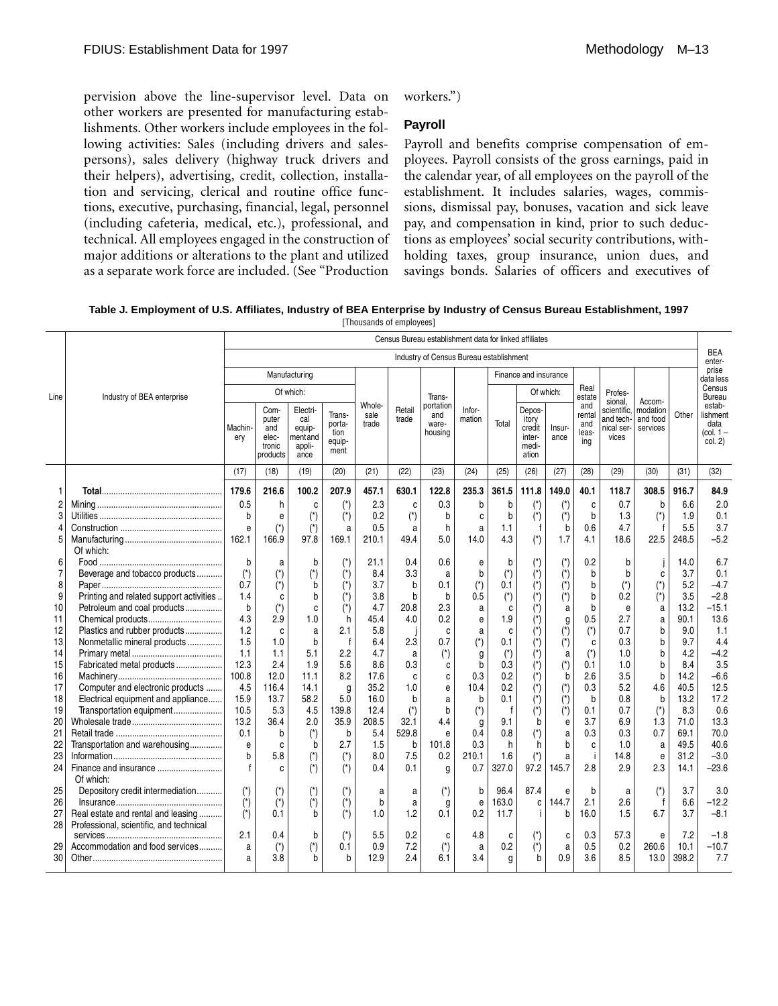pervision above the line-supervisor level. Data on other workers are presented for manufacturing establishments. Other workers include employees in the following activities: Sales (including drivers and salespersons), sales delivery (highway truck drivers and their helpers), advertising, credit, collection, installation and servicing, clerical and routine office functions, executive, purchasing, financial, legal, personnel (including cafeteria, medical, etc.), professional, and technical. All employees engaged in the construction of major additions or alterations to the plant and utilized as a separate work force are included. (See "Production workers.")

## **Payroll**

Payroll and benefits comprise compensation of employees. Payroll consists of the gross earnings, paid in the calendar year, of all employees on the payroll of the establishment. It includes salaries, wages, commissions, dismissal pay, bonuses, vacation and sick leave pay, and compensation in kind, prior to such deductions as employees' social security contributions, withholding taxes, group insurance, union dues, and savings bonds. Salaries of officers and executives of

**Table J. Employment of U.S. Affiliates, Industry of BEA Enterprise by Industry of Census Bureau Establishment, 1997** [Thousands of employees]

|                |                                         | Census Bureau establishment data for linked affiliates |                                             |                                            |                                  |               |        |                                         |             |                       |                                             |                           |                     |                                  |                      |       |                                          |
|----------------|-----------------------------------------|--------------------------------------------------------|---------------------------------------------|--------------------------------------------|----------------------------------|---------------|--------|-----------------------------------------|-------------|-----------------------|---------------------------------------------|---------------------------|---------------------|----------------------------------|----------------------|-------|------------------------------------------|
|                |                                         |                                                        |                                             |                                            |                                  |               |        | Industry of Census Bureau establishment |             |                       |                                             |                           |                     |                                  |                      |       | <b>BEA</b><br>enter-                     |
|                |                                         |                                                        |                                             | Manufacturing                              |                                  |               |        |                                         |             |                       | Finance and insurance                       |                           |                     |                                  |                      |       | prise<br>data less                       |
| Line           | Industry of BEA enterprise              |                                                        | Of which:                                   |                                            |                                  |               |        | Trans-                                  |             |                       | Of which:                                   |                           | Real<br>estate      | Profes-                          |                      |       | Census<br><b>Bureau</b>                  |
|                |                                         |                                                        | Com-                                        | Electri-                                   | Trans-                           | Whole-        | Retail | portation<br>and                        | Infor-      |                       | Depos-                                      |                           | and<br>rental       | sional,<br>scientific,           | Accom-<br>modation   | Other | estab-                                   |
|                |                                         | Machin<br>ery                                          | puter<br>and<br>elec-<br>tronic<br>products | cal<br>equip-<br>mentand<br>appli-<br>ance | porta-<br>tion<br>equip-<br>ment | sale<br>trade | trade  | ware-<br>housing                        | mation      | Total                 | itory<br>credit<br>inter-<br>medi-<br>ation | Insur-<br>ance            | and<br>leas-<br>ing | and tech-<br>nical ser-<br>vices | and food<br>services |       | lishment<br>data<br>(col. 1 –<br>col. 2) |
|                |                                         | (17)                                                   | (18)                                        | (19)                                       | (20)                             | (21)          | (22)   | (23)                                    | (24)        | (25)                  | (26)                                        | (27)                      | (28)                | (29)                             | (30)                 | (31)  | (32)                                     |
| 1              |                                         | 179.6                                                  | 216.6                                       | 100.2                                      | 207.9                            | 457.1         | 630.1  | 122.8                                   | 235.3       | 361.5                 | 111.8                                       | 149.0                     | 40.1                | 118.7                            | 308.5                | 916.7 | 84.9                                     |
|                |                                         |                                                        |                                             |                                            |                                  |               |        |                                         |             |                       |                                             |                           |                     |                                  |                      |       | 2.0                                      |
| $\overline{2}$ |                                         | 0.5                                                    | h                                           | C                                          | $(\dot{\phantom{a}})$            | 2.3           | C      | 0.3                                     | b           | $\mathbf b$           | $(\dot{\phantom{a}})$                       | $(\dot{a})$               | C                   | 0.7                              | b                    | 6.6   |                                          |
| 3              |                                         | b                                                      | e                                           | $(\dot{\phantom{a}})$                      | $(\dot{a})$                      | 0.2           | $(*)$  | b                                       | C           | $\mathbf b$           | $(\dot{a})$                                 | $(\dot{\phantom{a}})$     | b                   | 1.3                              | $(*)$                | 1.9   | 0.1                                      |
| 4              |                                         | e                                                      | $(\dot{a})$                                 | $(\dot{\phantom{a}})$                      | a                                | 0.5           | a      | h                                       | a           | 1.1                   | t                                           | b                         | 0.6                 | 4.7                              | f                    | 5.5   | 3.7                                      |
| 5              | Of which:                               | 162.1                                                  | 166.9                                       | 97.8                                       | 169.1                            | 210.1         | 49.4   | 5.0                                     | 14.0        | 4.3                   | $(\dot{a})$                                 | 1.7                       | 4.1                 | 18.6                             | 22.5                 | 248.5 | $-5.2$                                   |
| 6              |                                         | b                                                      | a                                           | b                                          | $(\dot{z})$                      | 21.1          | 0.4    | 0.6                                     | e           | b                     | (*)                                         | $(\dot{\phantom{a}})$     | 0.2                 | b                                |                      | 14.0  | 6.7                                      |
| 7              | Beverage and tobacco products           | $(*)$                                                  | $(\dot{\phantom{a}})$                       | $(\dot{ }^*)$                              | $(*)$                            | 8.4           | 3.3    | a                                       | b           | $(\star)$             | $(\dot{\phantom{a}})$                       | $(\dot{a})$               | b                   | b                                | C                    | 3.7   | 0.1                                      |
| 8              |                                         | 0.7                                                    | $(\dot{\phantom{a}})$                       | b                                          | $(*)$                            | 3.7           | b      | 0.1                                     | $(*)$       | 0.1                   | $(\dot{\phantom{a}})$                       | $(\dot{a})$               | b                   | $(*)$                            | $(*)$                | 5.2   | $-4.7$                                   |
| 9              | Printing and related support activities | 1.4                                                    | C                                           | b                                          | $(*)$                            | 3.8           | b      | b                                       | 0.5         | $(\dot{a})$           | $(\dot{\phantom{a}})$                       | $(\dot{a})$               | b                   | 0.2                              | $(*)$                | 3.5   | $-2.8$                                   |
| 10             | Petroleum and coal products             | b                                                      | $(\dot{a})$                                 | C                                          | $(\dot{a})$                      | 4.7           | 20.8   | 2.3                                     | a           | C                     | (*)                                         | а                         | b                   | e                                | а                    | 13.2  | $-15.1$                                  |
| 11             |                                         | 4.3                                                    | 2.9                                         | 1.0                                        | h                                | 45.4          | 4.0    | 0.2                                     | e           | 1.9                   | (*)                                         | g                         | 0.5                 | 2.7                              | a                    | 90.1  | 13.6                                     |
| 12             | Plastics and rubber products            | 1.2                                                    | C                                           | a                                          | 2.1                              | 5.8           |        | C                                       | a           | C                     | $(\dot{\phantom{a}})$                       | $(*)$                     | $(\dot{z})$         | 0.7                              | b                    | 9.0   | 1.1                                      |
| 13             | Nonmetallic mineral products            | 1.5                                                    | 1.0                                         | b                                          |                                  | 6.4           | 2.3    | 0.7                                     | $(*)$       | 0.1                   | (*)                                         | $\left( ^{\star }\right)$ | C                   | 0.3                              | b                    | 9.7   | 4.4                                      |
| 14             |                                         | 1.1                                                    | 1.1                                         | 5.1                                        | 2.2                              | 4.7           | a      | $(\dot{\phantom{a}})$                   | g           | $(\dot{\phantom{a}})$ | $(\dot{\phantom{a}})$                       | a                         | $(\dot{z})$         | 1.0                              | b                    | 4.2   | $-4.2$                                   |
| 15             | Fabricated metal products               | 12.3                                                   | 2.4                                         | 1.9                                        | 5.6                              | 8.6           | 0.3    | c                                       | b           | 0.3                   | $(\dot{\phantom{a}})$                       | $(\dot{a})$               | 0.1                 | 1.0                              | b                    | 8.4   | 3.5                                      |
| 16             |                                         | 100.8                                                  | 12.0                                        | 11.1                                       | 8.2                              | 17.6          | C      | c                                       | 0.3         | 0.2                   | $(\dot{\phantom{a}})$                       | b                         | 2.6                 | 3.5                              | b                    | 14.2  | $-6.6$                                   |
| 17             | Computer and electronic products        | 4.5                                                    | 116.4                                       | 14.1                                       | g                                | 35.2          | 1.0    | e                                       | 10.4        | 0.2                   | (*)                                         | $(\dot{a})$               | 0.3                 | 5.2                              | 4.6                  | 40.5  | 12.5                                     |
| 18             | Electrical equipment and appliance      | 15.9                                                   | 13.7                                        | 58.2                                       | 5.0                              | 16.0          | b      | a                                       | b           | 0.1                   | $(\dot{\phantom{a}})$                       | $(\dot{r})$               | b                   | 0.8                              | b                    | 13.2  | 17.2                                     |
| 19             | Transportation equipment                | 10.5                                                   | 5.3                                         | 4.5                                        | 139.8                            | 12.4          | $(*)$  | b                                       | $(\dot{a})$ | f                     | $(\dot{z})$                                 | $(\dot{\phantom{a}})$     | 0.1                 | 0.7                              | $(\dot{a})$          | 8.3   | 0.6                                      |
| 20             |                                         | 13.2                                                   | 36.4                                        | 2.0                                        | 35.9                             | 208.5         | 32.1   | 4.4                                     | g           | 9.1                   | b                                           | e                         | 3.7                 | 6.9                              | 1.3                  | 71.0  | 13.3                                     |
| 21             |                                         | 0.1                                                    | b                                           | (*)                                        | b                                | 5.4           | 529.8  | е                                       | 0.4         | 0.8                   | $(\dot{z})$                                 | $\mathsf{a}$              | 0.3                 | 0.3                              | 0.7                  | 69.1  | 70.0                                     |
| 22             | Transportation and warehousing          | e                                                      | C                                           | b                                          | 2.7                              | 1.5           | b      | 101.8                                   | 0.3         | h                     | h                                           | b                         | C                   | 1.0                              | a                    | 49.5  | 40.6                                     |
| 23             |                                         | b                                                      | 5.8                                         | $(\dot{\phantom{a}})$                      | $(\dot{z})$                      | 8.0           | 7.5    | 0.2                                     | 210.1       | 1.6                   | $(*)$                                       | a                         | Ť                   | 14.8                             | е                    | 31.2  | $-3.0$                                   |
| 24             | Finance and insurance                   | $\mathsf{f}$                                           | C.                                          | $(*)$                                      | $(*)$                            | 0.4           | 0.1    | g                                       | 0.7         | 327.0                 | 97.2                                        | 145.7                     | 2.8                 | 2.9                              | 2.3                  | 14.1  | $-23.6$                                  |
|                | Of which:                               |                                                        |                                             |                                            |                                  |               |        |                                         |             |                       |                                             |                           |                     |                                  |                      |       |                                          |
| 25             | Depository credit intermediation        | $(\dot{z})$                                            | (*)                                         | (*)                                        | $(\dot{\phantom{a}})$            | a             | a      | $($ *)                                  | b           | 96.4                  | 87.4                                        | e                         | b                   | a                                | $(\star)$            | 3.7   | 3.0                                      |
| 26             |                                         | $(\dot{\phantom{a}})$                                  | $(\dot{\phantom{a}})$                       | (*)                                        | $(\dot{\phantom{a}})$            | b             | a      | g                                       | e           | 163.0                 | C                                           | 144.7                     | 2.1                 | 2.6                              | f                    | 6.6   | $-12.2$                                  |
| 27             | Real estate and rental and leasing      | $(*)$                                                  | 0.1                                         | b                                          | $(*)$                            | 1.0           | 1.2    | 0.1                                     | 0.2         | 11.7                  | j.                                          | b                         | 16.0                | 1.5                              | 6.7                  | 3.7   | $-8.1$                                   |
| 28             | Professional, scientific, and technical |                                                        |                                             |                                            |                                  |               |        |                                         |             |                       |                                             |                           |                     |                                  |                      |       |                                          |
|                |                                         | 2.1                                                    | 0.4                                         | b                                          | $(\dot{\phantom{a}})$            | 5.5           | 0.2    | C                                       | 4.8         | C                     | $(*)$                                       | C                         | 0.3                 | 57.3                             | е                    | 7.2   | $-1.8$                                   |
| 29             | Accommodation and food services         | a                                                      | $(\dot{z})$                                 | $(\dot{\phantom{a}})$                      | 0.1                              | 0.9           | 7.2    | $(*)$                                   | a           | 0.2                   | $(\dot{z})$                                 | $\mathsf{a}$              | 0.5                 | 0.2                              | 260.6                | 10.1  | $-10.7$                                  |
| 30             |                                         | a                                                      | 3.8                                         | h                                          | h                                | 12.9          | 2.4    | 6.1                                     | 3.4         | a                     | h                                           | 0.9                       | 3.6                 | 8.5                              | 13.0                 | 398.2 | 7.7                                      |
|                |                                         |                                                        |                                             |                                            |                                  |               |        |                                         |             |                       |                                             |                           |                     |                                  |                      |       |                                          |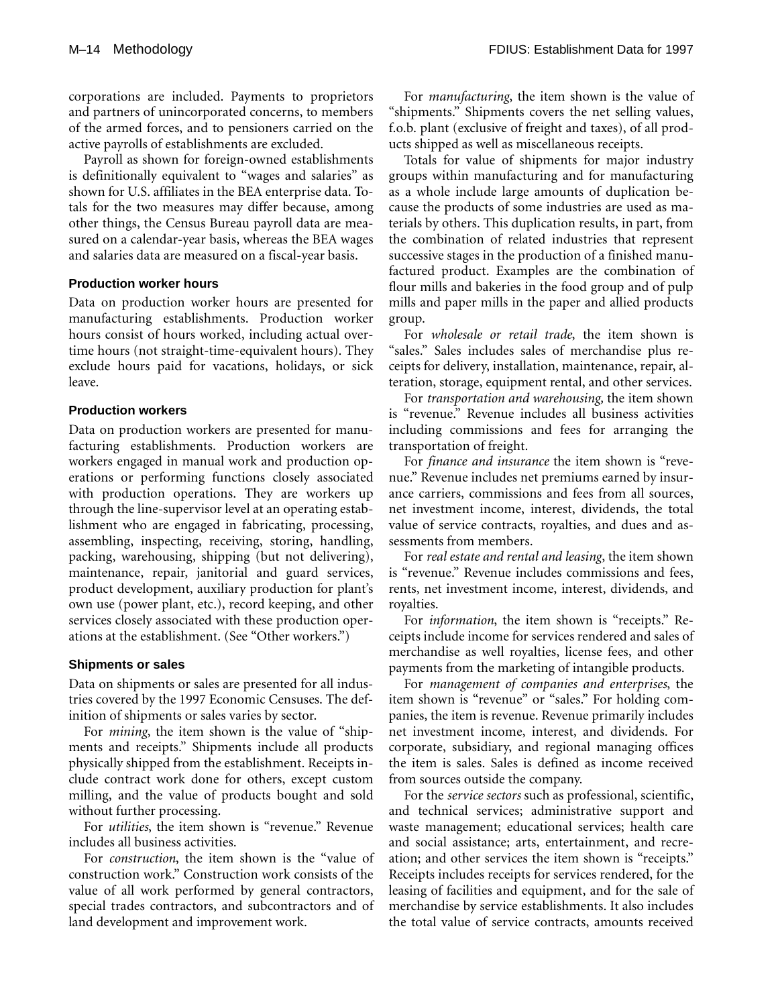corporations are included. Payments to proprietors and partners of unincorporated concerns, to members of the armed forces, and to pensioners carried on the active payrolls of establishments are excluded.

Payroll as shown for foreign-owned establishments is definitionally equivalent to "wages and salaries" as shown for U.S. affiliates in the BEA enterprise data. Totals for the two measures may differ because, among other things, the Census Bureau payroll data are measured on a calendar-year basis, whereas the BEA wages and salaries data are measured on a fiscal-year basis.

#### **Production worker hours**

Data on production worker hours are presented for manufacturing establishments. Production worker hours consist of hours worked, including actual overtime hours (not straight-time-equivalent hours). They exclude hours paid for vacations, holidays, or sick leave.

## **Production workers**

Data on production workers are presented for manufacturing establishments. Production workers are workers engaged in manual work and production operations or performing functions closely associated with production operations. They are workers up through the line-supervisor level at an operating establishment who are engaged in fabricating, processing, assembling, inspecting, receiving, storing, handling, packing, warehousing, shipping (but not delivering), maintenance, repair, janitorial and guard services, product development, auxiliary production for plant's own use (power plant, etc.), record keeping, and other services closely associated with these production operations at the establishment. (See "Other workers.")

# **Shipments or sales**

Data on shipments or sales are presented for all industries covered by the 1997 Economic Censuses. The definition of shipments or sales varies by sector.

For *mining*, the item shown is the value of "shipments and receipts." Shipments include all products physically shipped from the establishment. Receipts include contract work done for others, except custom milling, and the value of products bought and sold without further processing.

For *utilities*, the item shown is "revenue." Revenue includes all business activities.

For *construction*, the item shown is the "value of construction work." Construction work consists of the value of all work performed by general contractors, special trades contractors, and subcontractors and of land development and improvement work.

For *manufacturing*, the item shown is the value of "shipments." Shipments covers the net selling values, f.o.b. plant (exclusive of freight and taxes), of all products shipped as well as miscellaneous receipts.

Totals for value of shipments for major industry groups within manufacturing and for manufacturing as a whole include large amounts of duplication because the products of some industries are used as materials by others. This duplication results, in part, from the combination of related industries that represent successive stages in the production of a finished manufactured product. Examples are the combination of flour mills and bakeries in the food group and of pulp mills and paper mills in the paper and allied products group.

For *wholesale or retail trade*, the item shown is "sales." Sales includes sales of merchandise plus receipts for delivery, installation, maintenance, repair, alteration, storage, equipment rental, and other services.

For *transportation and warehousing,* the item shown is "revenue." Revenue includes all business activities including commissions and fees for arranging the transportation of freight.

For *finance and insurance* the item shown is "revenue." Revenue includes net premiums earned by insurance carriers, commissions and fees from all sources, net investment income, interest, dividends, the total value of service contracts, royalties, and dues and assessments from members.

For *real estate and rental and leasing*, the item shown is "revenue." Revenue includes commissions and fees, rents, net investment income, interest, dividends, and royalties.

For *information*, the item shown is "receipts." Receipts include income for services rendered and sales of merchandise as well royalties, license fees, and other payments from the marketing of intangible products.

For *management of companies and enterprises*, the item shown is "revenue" or "sales." For holding companies, the item is revenue. Revenue primarily includes net investment income, interest, and dividends. For corporate, subsidiary, and regional managing offices the item is sales. Sales is defined as income received from sources outside the company.

For the *service sectors* such as professional, scientific, and technical services; administrative support and waste management; educational services; health care and social assistance; arts, entertainment, and recreation; and other services the item shown is "receipts." Receipts includes receipts for services rendered, for the leasing of facilities and equipment, and for the sale of merchandise by service establishments. It also includes the total value of service contracts, amounts received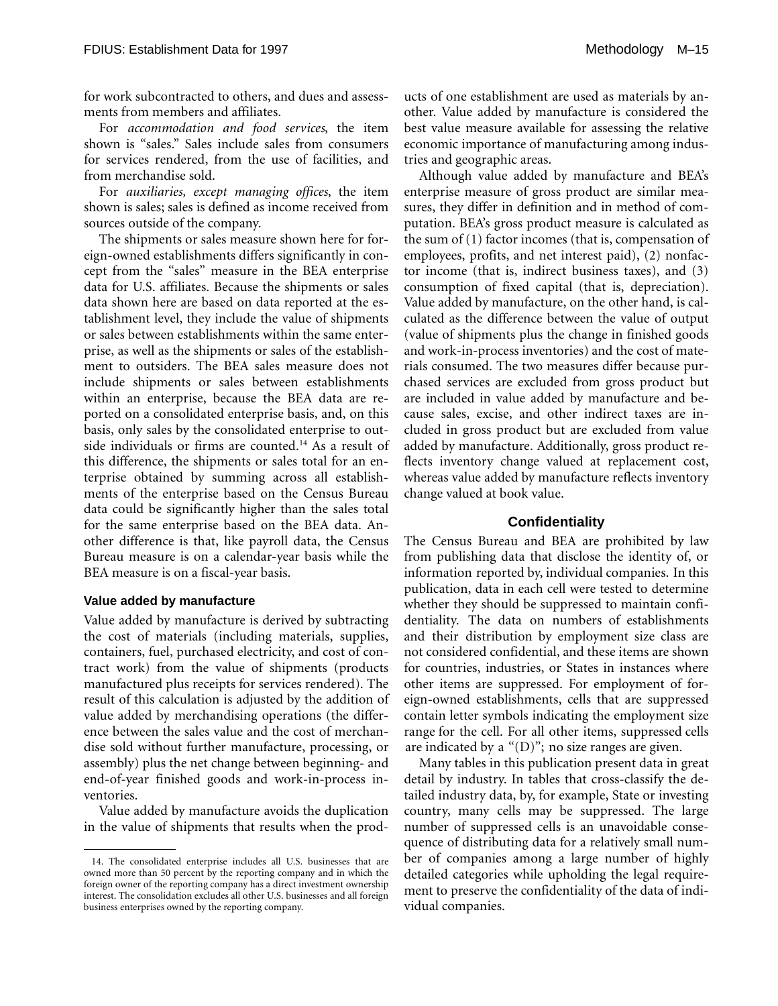for work subcontracted to others, and dues and assessments from members and affiliates.

For *accommodation and food services*, the item shown is "sales." Sales include sales from consumers for services rendered, from the use of facilities, and from merchandise sold.

For *auxiliaries, except managing offices*, the item shown is sales; sales is defined as income received from sources outside of the company.

The shipments or sales measure shown here for foreign-owned establishments differs significantly in concept from the "sales" measure in the BEA enterprise data for U.S. affiliates. Because the shipments or sales data shown here are based on data reported at the establishment level, they include the value of shipments or sales between establishments within the same enterprise, as well as the shipments or sales of the establishment to outsiders. The BEA sales measure does not include shipments or sales between establishments within an enterprise, because the BEA data are reported on a consolidated enterprise basis, and, on this basis, only sales by the consolidated enterprise to outside individuals or firms are counted.<sup>14</sup> As a result of this difference, the shipments or sales total for an enterprise obtained by summing across all establishments of the enterprise based on the Census Bureau data could be significantly higher than the sales total for the same enterprise based on the BEA data. Another difference is that, like payroll data, the Census Bureau measure is on a calendar-year basis while the BEA measure is on a fiscal-year basis.

#### **Value added by manufacture**

Value added by manufacture is derived by subtracting the cost of materials (including materials, supplies, containers, fuel, purchased electricity, and cost of contract work) from the value of shipments (products manufactured plus receipts for services rendered). The result of this calculation is adjusted by the addition of value added by merchandising operations (the difference between the sales value and the cost of merchandise sold without further manufacture, processing, or assembly) plus the net change between beginning- and end-of-year finished goods and work-in-process inventories.

Value added by manufacture avoids the duplication in the value of shipments that results when the products of one establishment are used as materials by another. Value added by manufacture is considered the best value measure available for assessing the relative economic importance of manufacturing among industries and geographic areas.

Although value added by manufacture and BEA's enterprise measure of gross product are similar measures, they differ in definition and in method of computation. BEA's gross product measure is calculated as the sum of (1) factor incomes (that is, compensation of employees, profits, and net interest paid), (2) nonfactor income (that is, indirect business taxes), and (3) consumption of fixed capital (that is, depreciation). Value added by manufacture, on the other hand, is calculated as the difference between the value of output (value of shipments plus the change in finished goods and work-in-process inventories) and the cost of materials consumed. The two measures differ because purchased services are excluded from gross product but are included in value added by manufacture and because sales, excise, and other indirect taxes are included in gross product but are excluded from value added by manufacture. Additionally, gross product reflects inventory change valued at replacement cost, whereas value added by manufacture reflects inventory change valued at book value.

#### **Confidentiality**

The Census Bureau and BEA are prohibited by law from publishing data that disclose the identity of, or information reported by, individual companies. In this publication, data in each cell were tested to determine whether they should be suppressed to maintain confidentiality. The data on numbers of establishments and their distribution by employment size class are not considered confidential, and these items are shown for countries, industries, or States in instances where other items are suppressed. For employment of foreign-owned establishments, cells that are suppressed contain letter symbols indicating the employment size range for the cell. For all other items, suppressed cells are indicated by a " $(D)$ "; no size ranges are given.

Many tables in this publication present data in great detail by industry. In tables that cross-classify the detailed industry data, by, for example, State or investing country, many cells may be suppressed. The large number of suppressed cells is an unavoidable consequence of distributing data for a relatively small number of companies among a large number of highly detailed categories while upholding the legal requirement to preserve the confidentiality of the data of individual companies.

<sup>14.</sup> The consolidated enterprise includes all U.S. businesses that are owned more than 50 percent by the reporting company and in which the foreign owner of the reporting company has a direct investment ownership interest. The consolidation excludes all other U.S. businesses and all foreign business enterprises owned by the reporting company.